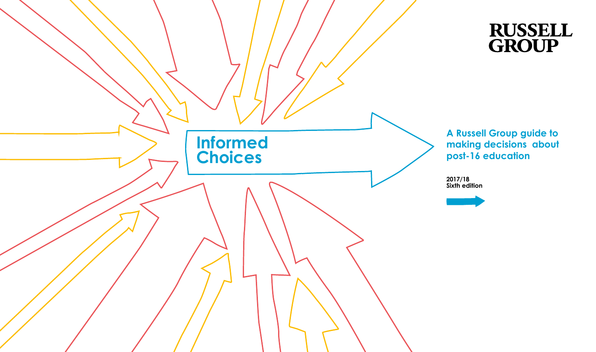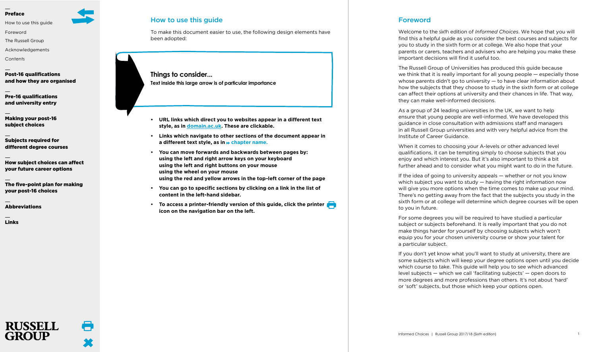<span id="page-1-0"></span>How to use this guide

Foreword

[The Russell Group](#page-2-0)

[Acknowledgements](#page--1-0)

**[Conte](#page-3-0)nts** 

[Post-16 qualifications](#page-4-0) [and how they are organised](#page-4-0)

[Pre-16 qualifications](#page-11-0)  [and university entry](#page-11-0)

[Making your post-16](#page-13-0)  [subject choices](#page-13-0)

[Subjects required for](#page-19-0)  [different degree courses](#page-19-0)

[How subject choices can affect](#page-25-0)  [your future career options](#page-25-0)

[The five-point plan for making](#page-27-0)  [your post-16 choices](#page-27-0)

[Abbreviations](#page-28-0)

**RUSSELL** 

[Links](#page-29-0)

### <span id="page-1-1"></span>How to use this guide

To make this document easier to use, the following design elements have been adopted:

**Things to consider... Text inside this large arrow is of particular importance**

- **URL links which direct you to websites appear in a different text style, as in domain.ac.uk. These are clickable.**
- **Links which navigate to other sections of the document appear in a different text style, as in chapter name.**
- **You can move forwards and backwards between pages by: using the left and right arrow keys on your keyboard using the left and right buttons on your mouse using the wheel on your mouse using the red and yellow arrows in the top-left corner of the page**
- **You can go to specific sections by clicking on a link in the list of content in the left-hand sidebar.**
- **To access a printer-friendly version of this guide, click the printer icon on the navigation bar on the left.**

### <span id="page-1-2"></span>Foreword

Welcome to the sixth edition of *Informed Choices*. We hope that you will find this a helpful guide as you consider the best courses and subjects for you to study in the sixth form or at college. We also hope that your parents or carers, teachers and advisers who are helping you make these important decisions will find it useful too.

The Russell Group of Universities has produced this guide because we think that it is really important for all young people — especially those whose parents didn't go to university — to have clear information about how the subjects that they choose to study in the sixth form or at college can affect their options at university and their chances in life. That way, they can make well-informed decisions.

As a group of 24 leading universities in the UK, we want to help ensure that young people are well-informed. We have developed this guidance in close consultation with admissions staff and managers in all Russell Group universities and with very helpful advice from the Institute of Career Guidance.

When it comes to choosing your A-levels or other advanced level qualifications, it can be tempting simply to choose subjects that you enjoy and which interest you. But it's also important to think a bit further ahead and to consider what you might want to do in the future.

If the idea of going to university appeals — whether or not you know which subject you want to study — having the right information now will give you more options when the time comes to make up your mind. There's no getting away from the fact that the subjects you study in the sixth form or at college will determine which degree courses will be open to you in future.

For some degrees you will be required to have studied a particular subject or subjects beforehand. It is really important that you do not make things harder for yourself by choosing subjects which won't equip you for your chosen university course or show your talent for a particular subject.

If you don't yet know what you'll want to study at university, there are some subjects which will keep your degree options open until you decide which course to take. This guide will help you to see which advanced level subjects — which we call 'facilitating subjects' — open doors to more degrees and more professions than others. It's not about 'hard' or 'soft' subjects, but those which keep your options open.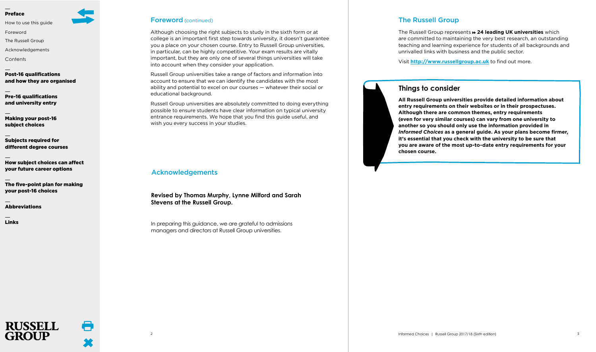<span id="page-2-0"></span>[How to use this guide](#page-1-1)

[Foreword](#page-1-2)

[The Russell Group](#page-2-1)

Acknowledgements

**[Conte](#page-3-1)nts** 

[Post-16 qualifications](#page-4-1) [and how they are organised](#page-4-1)

[Pre-16 qualifications](#page-11-1)  [and university entry](#page-11-1)

[Making your post-16](#page-13-1)  [subject choices](#page-13-1)

[Subjects required for](#page--1-1)  [different degree courses](#page--1-1)

[How subject choices can affect](#page-25-1)  [your future career options](#page-25-1)

[The five-point plan for making](#page-27-1)  [your post-16 choices](#page-27-1)

Abbreviations

**RUSSELL** 

[Links](#page-29-1)

### Foreword (continued)

Although choosing the right subjects to study in the sixth form or at college is an important first step towards university, it doesn't guarantee you a place on your chosen course. Entry to Russell Group universities, in particular, can be highly competitive. Your exam results are vitally important, but they are only one of several things universities will take into account when they consider your application.

Russell Group universities take a range of factors and information into account to ensure that we can identify the candidates with the most ability and potential to excel on our courses — whatever their social or educational background.

Russell Group universities are absolutely committed to doing everything possible to ensure students have clear information on typical university entrance requirements. We hope that you find this guide useful, and wish you every success in your studies.

### Acknowledgements

**Revised by Thomas Murphy, Lynne Milford and Sarah Stevens at the Russell Group.**

In preparing this guidance, we are grateful to admissions managers and directors at Russell Group universities.

### <span id="page-2-1"></span>The Russell Group

The Russell Group represents **24 leading UK universities** which are committed to maintaining the very best research, an outstanding teaching and learning experience for students of all backgrounds and unrivalled links with business and the public sector.

Visit **http://www.russellgroup.ac.uk** to find out more.

## **Things to consider**

**All Russell Group universities provide detailed information about entry requirements on their websites or in their prospectuses. Although there are common themes, entry requirements (even for very similar courses) can vary from one university to another so you should only use the information provided in** *Informed Choices* **as a general guide. As your plans become firmer, it's essential that you check with the university to be sure that you are aware of the most up-to-date entry requirements for your chosen course.**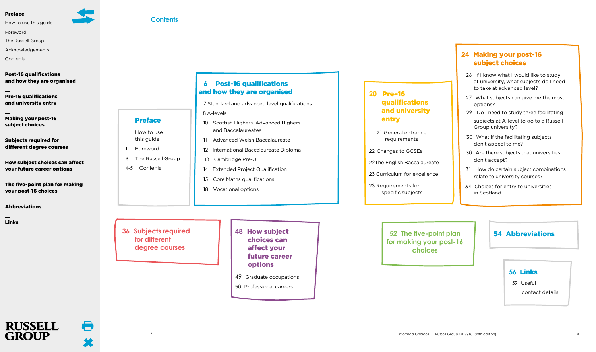<span id="page-3-1"></span>[How to use this guide](#page-1-0)

[Foreword](#page-1-0)

[The Russell Group](#page-2-0)

[Acknowledgements](#page-2-0)

**Contents** 

[Post-16 qualifications](#page-4-0) [and how they are organised](#page-4-0)

[Pre-16 qualifications](#page-11-0)  [and university entry](#page-11-0)

[Making your post-16](#page-13-0)  [subject choices](#page-13-0)

[Subjects required for](#page-19-0)  [different degree courses](#page-19-0)

[How subject choices can affect](#page-25-0)  [your future career options](#page-19-0)

[The five-point plan for making](#page-27-0)  [your post-16 choices](#page-27-0)

[Abbreviations](#page-28-0)

[Links](#page-29-0)

### **6** [Post-16 qualifications](#page-4-1) and [how they are organised](#page-4-1)

7 [Standard and advanced level qualifications](#page-4-0) 8 [A-levels](#page-5-0)

- 10 [Scottish Highers, Advanced Highers](#page-6-0) and [Baccalaureates](#page-6-1)
- 11 [Advanced Welsh Baccalaureate](#page-6-0)
- 12 [International Baccalaureate Diploma](#page-7-0)
- 13 [Cambridge Pre-U](#page-7-0)
- 14 [Extended Project Qualification](#page-8-0)
- 15 [Core Maths qualifications](#page-8-0)
- 18 [Vocational options](#page-9-0)

### **36 Subjects [required](#page-19-0)  [for different](#page--1-1)  [degree courses](#page--1-1)**

## **48** [How subject](#page-25-0) [choices can](#page-25-0) [affect your](#page-25-1) [future career](#page-25-1) [options](#page-25-1) 49 [Graduate occupations](#page-25-0)

50 [Professional careers](#page-26-0)

### **2 0** [Pre](#page-11-0) **-**-16 [qualifications](#page-11-1) [and university](#page-11-1) [entry](#page-11-1)

21 General [entrance](#page-11-0) [requirement](#page-11-2)s

22 [Changes to GCSEs](#page-12-0)

22[The English Baccalaureate](#page-12-0)

23 [Curriculum for excellence](#page-12-0)

23 [Requirements](#page-12-0) for [specific subjects](#page-12-1)

### 2**4** [Making your post-16](#page-13-1) [subject choices](#page-13-0)

- 26 [If I know what I would like to study](#page-14-0) [at university, what subjects do I need](#page-14-1) [to take at advanced level?](#page-14-1)
- 27 [What subjects can give me the most](#page-14-0) [options?](#page-14-2)
- 29 [Do I need to study three facilitating](#page-15-0) [subjects at A-level to go to a Russell](#page-15-1) [Group university?](#page-15-1)
- 30 [What if the facilitating subjects](#page-16-0) don't appeal to me?
- 30 [Are there subjects that universities](#page-16-0) don't accept?
- 31 [How do certain subject combinations](#page-16-0) [relate to university courses?](#page-16-1)
- 34 [Choices for entry to universities](#page-18-0) [in Scotland](#page-18-1)

**[52 The five-point plan](#page-27-0)** 5**4** [Abbreviations](#page-28-0) **for [making your](#page-27-0) post-16 [choices](#page-27-0)**

## **56** [Links](#page-29-0)

59 [Useful](#page-30-0)

[contact details](#page-30-0)



 $\blacksquare$ 



[Preface](#page-1-0) [How to use](#page-1-1) 

<span id="page-3-0"></span>**Contents**

this quide 1 [Foreword](#page-1-2)

 [3 The Russell Group](#page-2-1)

4-5 [Contents](#page--1-0)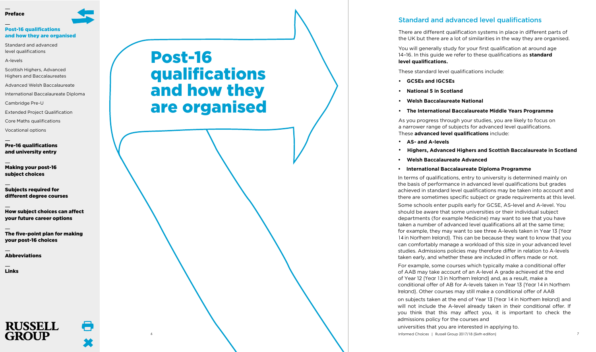### <span id="page-4-0"></span>[Post-16 qualifications](#page-4-1) [and how they are organised](#page-4-1)

[Standard and advanced](#page-4-2)  [level qualifications](#page-4-2)

[A-levels](#page-5-1)

[Scottish Highers, Advanced](#page-6-1)  [Highers and Baccalaureates](#page-6-1)

[Advanced Welsh Baccalaureate](#page-6-2)

[International Baccalaureate Diploma](#page-7-1)

[Cambridge Pre-U](#page-7-2)

[Extended Project Qualification](#page-8-1)

[Core Maths qualifications](#page-8-2)

[Vocational options](#page-9-1)

[Pre-16 qualifications](#page-11-1)  [and university entry](#page-11-1)

[Making your post-16](#page-13-1)  [subject choices](#page-13-1)

[Subjects required for](#page--1-1)  [different degree courses](#page--1-1)

[How subject choices can affect](#page-25-1)  [your future career options](#page-25-1)

[The five-point plan for making](#page-27-1)  [your post-16 choices](#page-27-1)

Abbreviations

[Links](#page-29-1)



# <span id="page-4-1"></span>Post-16 qualifications and how they are organised

### <span id="page-4-2"></span>Standard and advanced level qualifications

There are different qualification systems in place in different parts of the UK but there are a lot of similarities in the way they are organised.

You will generally study for your first qualification at around age 14–16. In this guide we refer to these qualifications as **standard level qualifications.**

These standard level qualifications include:

- **GCSEs and IGCSEs**
- **• National 5 in Scotlan d**
- **Welsh Baccalaureate National**
- **The International Baccalaureate Middle Years Programme**

As you progress through your studies, you are likely to focus on a narrower range of subjects for advanced level qualifications. These **advanced level qualifications** include:

- **• AS- and A-levels**
- **• Highers, Advanced Highers and Scottish Baccalaureate in Scotland**
- **Welsh Baccalaureate Advanced**
- **International Baccalaureate Diploma Programme**

In terms of qualifications, entry to university is determined mainly on the basis of performance in advanced level qualifications but grades achieved in standard level qualifications may be taken into account and there are sometimes specific subject or grade requirements at this level.

Some schools enter pupils early for GCSE, AS-level and A-level. You should be aware that some universities or their individual subject departments (for example Medicine) may want to see that you have taken a number of advanced level qualifications all at the same time; for example, they may want to see three A-levels taken in Year 13 (Year 14 in Northern Ireland). This can be because they want to know that you can comfortably manage a workload of this size in your advanced level studies. Admissions policies may therefore differ in relation to A-levels taken early, and whether these are included in offers made or not.

For example, some courses which typically make a conditional offer of AAB may take account of an A-level A grade achieved at the end of Year 1 2 (Year 13 in Northern Ireland) and, as a result, make a conditional offer of AB for A-levels taken in Year 1 3 (Year 14 in Northern Ireland). Other courses may still make a conditional offer of AAB

on subjects taken at the end of Year 13 (Year 14 in Northern Ireland) and will not include the A-level already taken in their conditional offer. If you think that this may affect you, it is important to check the admissions policy for the courses and

Informed Choices | Russell Group 2017/18 (Sixth edition) universities that you are interested in applying to.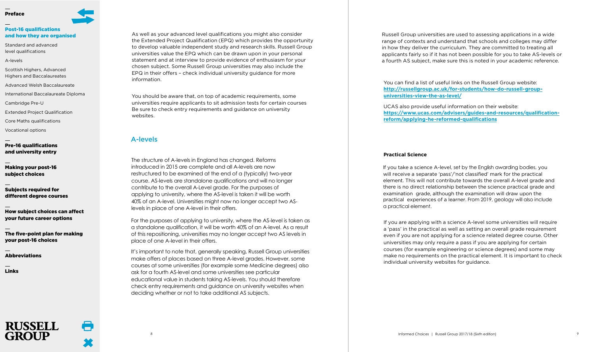### <span id="page-5-0"></span>[Post-16 qualifications](#page-4-1) [and how they are organised](#page-4-1)

[Standard and advanced](#page-4-2)  [level qualifications](#page-4-2)

[A-levels](#page-5-1)

[Scottish Highers, Advanced](#page-6-1)  [Highers and Baccalaureates](#page-6-1)

[Advanced Welsh Baccalaureate](#page-6-2)

[International Baccalaureate Diploma](#page-7-1)

[Cambridge Pre-U](#page-7-2)

[Extended Project Qualification](#page-8-1)

[Core Maths qualifications](#page-8-2)

[Vocational options](#page-9-1)

[Pre-16 qualifications](#page-11-1)  [and university entry](#page-11-1)

[Making your post-16](#page-13-1)  [subject choices](#page-13-1)

[Subjects required for](#page--1-1)  [different degree courses](#page--1-1)

[How subject choices can affect](#page-25-1)  [your future career options](#page-25-1)

[The five-point plan for making](#page-27-1)  [your post-16 choices](#page-27-1)

Abbreviations

[Links](#page-29-1)

As well as your advanced level qualifications you might also consider the Extended Project Qualification (EPQ) which provides the opportunity to develop valuable independent study and research skills. Russell Group universities value the EPQ which can be drawn upon in your personal statement and at interview to provide evidence of enthusiasm for your chosen subject. Some Russell Group universities may also include the EPQ in their offers – check individual university guidance for more information.

<span id="page-5-1"></span>You should be aware that, on top of academic requirements, some universities require applicants to sit admission tests for certain courses Be sure to check entry requirements and guidance on university websites.

### A-levels

The structure of A-levels in England has changed. Reforms introduced in 2015 are complete and all A-levels are now restructured to be examined at the end of a (typically) two-year course. AS-levels are standalone qualifications and will no longer contribute to the overall A-Level grade. For the purposes of applying to university, where the AS-level is taken it will be worth 40% of an A-level. Universities might now no longer accept two ASlevels in place of one A-level in their offers.

For the purposes of applying to university, where the AS-level is taken as a standalone qualification, it will be worth 40% of an A-level. As a result of this repositioning, universities may no longer accept two AS levels in place of one A-level in their offers.

It's important to note that, generally speaking, Russell Group universities make offers of places based on three A-level grades. However, some courses at some universities (for example some Medicine degrees) also ask for a fourth AS-level and some universities see particular educational value in students taking AS-levels. You should therefore check entry requirements and guidance on university websites when deciding whether or not to take additional AS subjects.

Russell Group universities are used to assessing applications in a wide range of contexts and understand that schools and colleges may differ in how they deliver the curriculum. They are committed to treating all applicants fairly so if it has not been possible for you to take AS-levels or a fourth AS subject, make sure this is noted in your academic reference.

You can find a list of useful links on the Russell Group website: **http://russellgroup.ac.uk/for-students/how-do-russell-groupuniversities-view-the-as-level/**

UCAS also provide useful information on their website: **https://www.ucas.com/advisers/guides-and-resources/qualificationreform/applying-he-reformed-qualifications**

### **Practical Science**

If you take a science A-level, set by the English awarding bodies, you will receive a separate 'pass'/'not classified' mark for the practical element. This will not contribute towards the overall A-level grade and there is no direct relationship between the science practical grade and examination grade, although the examination will draw upon the practical experiences of a learner. From 2019, geology will also include a practical element.

If you are applying with a science A-level some universities will require a 'pass' in the practical as well as setting an overall grade requirement even if you are not applying for a science related degree course. Other universities may only require a pass if you are applying for certain courses (for example engineering or science degrees) and some may make no requirements on the practical element. It is important to check individual university websites for guidance.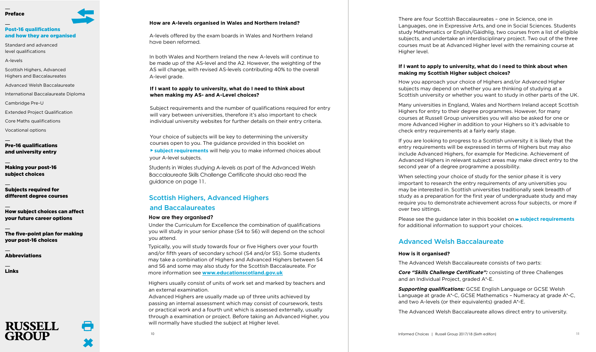### <span id="page-6-0"></span>[Post-16 qualifications](#page-4-1) [and how they are organised](#page-4-1)

[Standard and advanced](#page-4-2)  [level qualifications](#page-4-2)

[A-levels](#page-5-1)

[Scottish Highers, Advanced](#page-6-1)  [Highers and Baccalaureates](#page-6-1)

[Advanced Welsh Baccalaureate](#page-6-2)

[International Baccalaureate Diploma](#page-7-1)

[Cambridge Pre-U](#page-7-2)

[Extended Project Qualification](#page-8-1)

[Core Maths qualifications](#page-8-2)

[Vocational options](#page-9-1)

[Pre-16 qualifications](#page-11-1)  [and university entry](#page-11-1)

[Making your post-16](#page-13-1)  [subject choices](#page-13-1)

[Subjects required for](#page--1-1)  [different degree courses](#page--1-1)

[How subject choices can affect](#page-25-1)  [your future career options](#page-25-1)

[The five-point plan for making](#page-27-1)  [your post-16 choices](#page-27-1)

Abbreviations

**RUSSELL** 

t –

[Links](#page-29-1)

### and Baccalaureates **How are they organised?**

your A-level subjects.

guidance on page 1 1.

have been reformed.

A-level grade.

Under the Curriculum for Excellence the combination of qualifications you will study in your senior phase (S4 to S6) will depend on the school you attend.

**How are A-levels organised in Wales and Northern Ireland?**

A-levels offered by the exam boards in Wales and Northern Ireland

In both Wales and Northern Ireland the new A-levels will continue to be made up of the AS-level and the A2. However, the weighting of the AS will change, with revised AS -levels contributing 40% to the overall

Subject requirements and the number of qualifications required for entry will vary between universities, therefore it's also important to check individual university websites for further details on their entry criteria.

**If I want to apply to universi ty, what do I need t o think about**

Your choice of subjects will be key to determining the university courses open to you. The guidance provided in this booklet on

**subject [requirements](#page-19-0)** will help you to make informed choices about

Students in Wales studying A-levels as part of the Advanced Welsh Baccalaureate Skills Challenge Certificate should also read the

**when makin g my AS- and A-Level choices?**

<span id="page-6-1"></span>Scottish Highers, Advanced Highers

Typically, you will study towards four or five Highers over your fourth and/or fifth years of secondary school (S4 and/or S5). Some students may take a combination of Highers and Advanced Highers between S4 and S6 and some may also study for the Scottish Baccalaureate. For more information see **www.educationscotland.gov.uk**

Highers usually consist of units of work set and marked by teachers and an external examination.

Advanced Highers are usually made up of three units achieved by passing an internal assessment which may consist of coursework, tests or practical work and a fourth unit which is assessed externally, usually through a examination or project. Before taking an Advanced Higher, you will normally have studied the subject at Higher level.

There are four Scottish Baccalaureates – one in Science, one in Languages, one in Expressive Arts, and one in Social Sciences. Students study Mathematics or English/Gàidhlig, two courses from a list of eligible subjects, and undertake an interdisciplinary project. Two out of the three courses must be at Advanced Higher level with the remaining course at Higher level.

### **If I want to apply to university, what do I need to think about when making my Scottish Higher subject choices?**

How you approach your choice of Highers and/or Advanced Higher subjects may depend on whether you are thinking of studying at a Scottish university or whether you want to study in other parts of the UK.

Many universities in England, Wales and Northern Ireland accept Scottish Highers for entry to their degree programmes. However, for many courses at Russell Group universities you will also be asked for one or more Advanced Higher in addition to your Highers so it's advisable to check entry requirements at a fairly early stage.

If you are looking to progress to a Scottish university it is likely that the entry requirements will be expressed in terms of Highers but may also include Advanced Highers, for example for Medicine. Achievement of Advanced Highers in relevant subject areas may make direct entry to the second year of a degree programme a possibility.

When selecting your choice of study for the senior phase it is very important to research the entry requirements of any universities you may be interested in. Scottish universities traditionally seek breadth of study as a preparation for the first year of undergraduate study and may require you to demonstrate achievement across four subjects, or more if over two sittings.

Please see the guidance later in this booklet on **» subject [requirements](#page-19-0)** for additional information to support your choices.

### <span id="page-6-2"></span>Advanced Welsh Baccalaureate

### **How is it organised?**

The Advanced Welsh Baccalaureate consists of two parts:

*Core "Skills Challenge Certificate":* consisting of three Challenges and an Individual Project, graded A\*-E.

*Supporting qualifications:* GCSE English Language or GCSE Welsh Language at grade A\*-C, GCSE Mathematics – Numeracy at grade A\*-C, and two A-levels (or their equivalents) graded A\*-E.

The Advanced Welsh Baccalaureate allows direct entry to university.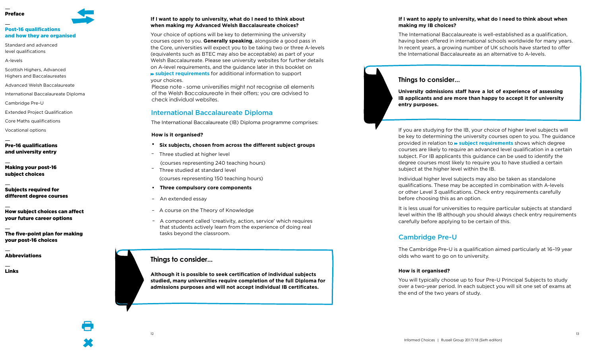# <span id="page-7-0"></span>[Post-16 qualifications](#page-4-1)

## [and how they are organised](#page-4-1)

[Standard and advanced](#page-4-2)  [level qualifications](#page-4-2)

[A-levels](#page-5-1)

- [Scottish Highers, Advanced](#page-6-1)  [Highers and Baccalaureates](#page-6-1)
- [Advanced Welsh Baccalaureate](#page-6-2)
- [International Baccalaureate Diploma](#page-7-1)
- [Cambridge Pre-U](#page-7-2)
- [Extended Project Qualification](#page-8-1)
- [Core Maths qualifications](#page-8-2)
- [Vocational options](#page-9-1)

### [Pre-16 qualifications](#page-11-1)  [and university entry](#page-11-1)

[Making your post-16](#page-13-1)  [subject choices](#page-13-1)

### [Subjects required for](#page--1-1)  [different degree courses](#page--1-1)

[How subject choices can affect](#page-25-1)  [your future career options](#page-25-1)

[The five-point plan for making](#page-27-1)  [your post-16 choices](#page-27-1)

Abbreviations

[Links](#page-29-1)

### **If I want to apply to university, what do I need to think about when making my Advanced Welsh Baccalaureate choices?**

Your choice of options will be key to determining the university courses open to you. **Generally speaking**, alongside a good pass in the Core, universities will expect you to be taking two or three A-levels (equivalents such as BTEC may also be acceptable) as part of your Welsh Baccalaureate. Please see university websites for further details on A-level requirements, and the guidance later in this booklet on **subject [requirements](#page-19-0)** for additional information to support your choices.

<span id="page-7-1"></span>Please note - some universities might not recognise all elements of the Welsh Baccalaureate in their offers; you are advised to check individual websites.

### International Baccalaureate Diploma

The International Baccalaureate (IB) Diploma programme comprises:

### **How is it organised?**

- **Six subjects, chosen from across the different subject groups •**
- Three studied at higher level (courses representing 240 teaching hours)
- Three studied at standard level (courses representing 150 teaching hours)
- **Three compulsory core components**
- An extended essay
- A course on the Theory of Knowledge
- A component called 'creativity, action, service' which requires that students actively learn from the experience of doing real tasks beyond the classroom.

### **Things to consider...**

**Although it is possible to seek certification of individual subjects studied, many universities require completion of the full Diploma for admissions purposes and will not accept individual IB certificates.**

### **If I want to apply to university, what do I need to think about when making my IB choices?**

The International Baccalaureate is well-established as a qualification, having been offered in international schools worldwide for many years. In recent years, a growing number of UK schools have started to offer the International Baccalaureate as an alternative to A-levels.

### **Things to consider...**

**University admissions staff have a lot of experience of assessing IB** applicants and are more than happy to accept it for university **entry purposes.**

If you are studying for the IB, your choice of higher level subjects will be key to determining the university courses open to you. The guidance provided in relation to **subject [requirements](#page-19-0)** shows which degree courses are likely to require an advanced level qualification in a certain subject. For IB applicants this guidance can be used to identify the degree courses most likely to require you to have studied a certain subject at the higher level within the IB.

Individual higher level subjects may also be taken as standalone qualifications. These may be accepted in combination with A-levels or other Level 3 qualifications. Check entry requirements carefully before choosing this as an option.

It is less usual for universities to require particular subjects at standard level within the IB although you should always check entry requirements carefully before applying to be certain of this.

### <span id="page-7-2"></span>Cambridge Pre-U

The Cambridge Pre-U is a qualification aimed particularly at 16–19 year olds who want to go on to university.

### **How is it organised?**

You will typically choose up to four Pre-U Principal Subjects to study over a two-year period. In each subject you will sit one set of exams at the end of the two years of study.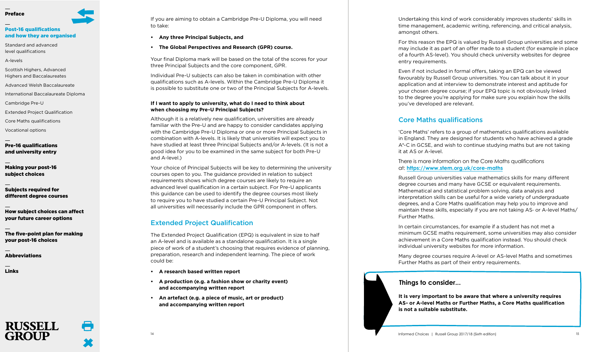### <span id="page-8-0"></span>[Post-16 qualifications](#page-4-1) [and how they are organised](#page-4-1)

[Standard and advanced](#page-4-2)  [level qualifications](#page-4-2)

[A-levels](#page-5-1)

[Scottish Highers, Advanced](#page-6-1)  [Highers and Baccalaureates](#page-6-1)

[Advanced Welsh Baccalaureate](#page-6-2)

[International Baccalaureate Diploma](#page-7-1)

[Cambridge Pre-U](#page-7-2)

[Extended Project Qualification](#page-8-1)

[Core Maths qualifications](#page-8-2)

Vocational options

[Pre-16 qualifications](#page-11-1)  [and university entry](#page-11-1)

[Making your post-16](#page-13-1)  [subject choices](#page-13-1)

[Subjects required for](#page--1-1)  [different degree courses](#page--1-1)

[How subject choices can affect](#page-25-1)  [your future career options](#page-25-1)

[The five-point plan for making](#page-27-1)  [your post-16 choices](#page-27-1)

Abbreviations

**RUSSELL** 

[Links](#page-29-1)

If you are aiming to obtain a Cambridge Pre-U Diploma, you will need to take:

- **Any three Principa l Subjects , and**
- **The Global Perspectives and Research (GPR) course.**

Your final Diploma mark will be based on the total of the scores for your three Principal Subjects and the core component, GPR.

Individual Pre-U subjects can also be taken in combination with other qualifications such as A-levels. Within the Cambridge Pre-U Diploma it is possible to substitute one or two of the Principal Subjects for A-levels.

### **If I want to apply to university, what do I need to think about when choosing my Pre-U Principa l Subjects ?**

Although it is a relatively new qualification, universities are already familiar with the Pre-U and are happy to consider candidates applying with the Cambridge Pre-U Diploma or one or more Principal Subjects in combination with A-levels. It is likely that universities will expect you to have studied at least three Principal Subjects and/or A-levels. (It is not a good idea for you to be examined in the same subject for both Pre-U and A-level.)

Your choice of Principal Subjects will be key to determining the university courses open to you. The guidance provided in relation to subject requirements shows which degree courses are likely to require an advanced level qualification in a certain subject. For Pre-U applicants this guidance can be used to identify the degree courses most likely to require you to have studied a certain Pre-U Principal Subject. Not all universities will necessarily include the GPR component in offers.

### <span id="page-8-1"></span>Extended Project Qualification

The Extended Project Qualification (EPQ) is equivalent in size to half an A-level and is available as a standalone qualification. It is a single piece of work of a student's choosing that requires evidence of planning, preparation, research and independent learning. The piece of work could be:

- **A research based written report**
- **A production (e.g. a fashion show or charity event) and accompanying written report**
- **An artefact (e.g. a piece of music, art or product) and accompanying written report**

Undertaking this kind of work considerably improves students' skills in time management, academic writing, referencing, and critical analysis, amongst others.

For this reason the EPQ is valued by Russell Group universities and some may include it as part of an offer made to a student (for example in place of a fourth AS-level). You should check university websites for degree entry requirements.

Even if not included in formal offers, taking an EPQ can be viewed favourably by Russell Group universities. You can talk about it in your application and at interview to demonstrate interest and aptitude for your chosen degree course; if your EPQ topic is not obviously linked to the degree you're applying for make sure you explain how the skills you've developed are relevant.

## <span id="page-8-2"></span>Core Maths qualifications

'Core Maths' refers to a group of mathematics qualifications available in England. They are designed for students who have achieved a grade A\*-C in GCSE, and wish to continue studying maths but are not taking it at AS or A-level.

There is more information on the Core Maths qualifications at: **https://www.stem.org.uk/core-maths**

Russell Group universities value mathematics skills for many different degree courses and many have GCSE or equivalent requirements. Mathematical and statistical problem solving, data analysis and interpretation skills can be useful for a wide variety of undergraduate degrees, and a Core Maths qualification may help you to improve and maintain these skills, especially if you are not taking AS - or A-level Maths/ Further Maths.

In certain circumstances, for example if a student has not met a minimum GCSE maths requirement, some universities may also consider achievement in a Core Maths qualification instead. You should check individual university websites for more information.

Many degree courses require A-level or AS-level Maths and sometimes Further Maths as part of their entry requirements.

### **Things to consider...**

**It is very important to be aware that where a university requires AS- or A-level Maths o r Further Maths, a Core Maths qualification is not a suitable substitute.**

 $\blacksquare$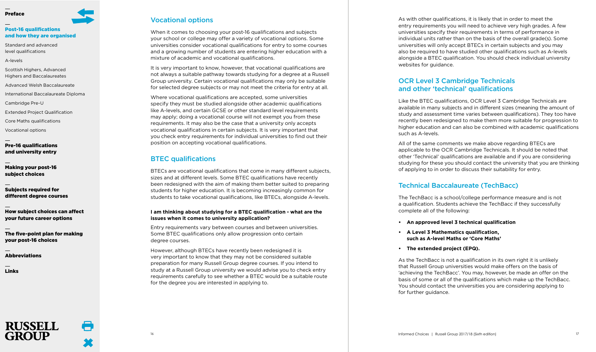### <span id="page-9-0"></span>[Post-16 qualifications](#page-4-1) [and how they are organised](#page-4-1)

[Standard and advanced](#page-4-2)  [level qualifications](#page-4-2)

[A-levels](#page-5-1)

[Scottish Highers, Advanced](#page-6-1)  [Highers and Baccalaureates](#page-6-1)

[Advanced Welsh Baccalaureate](#page-6-2)

[International Baccalaureate Diploma](#page-7-1)

[Cambridge Pre-U](#page-7-2)

[Extended Project Qualification](#page-8-1)

[Core Maths qualifications](#page-8-2)

[Vocational options](#page-9-1)

[Pre-16 qualifications](#page-11-1)  [and university entry](#page-11-1)

[Making your post-16](#page-13-1)  [subject choices](#page-13-1)

[Subjects required for](#page--1-1)  [different degree courses](#page--1-1)

[How subject choices can affect](#page-25-1)  [your future career options](#page-25-1)

[The five-point plan for making](#page-27-1)  [your post-16 choices](#page-27-1)

Abbreviations

**RUSSELL** 

[Links](#page-29-1)

### <span id="page-9-1"></span>Vocational options

When it comes to choosing your post-16 qualifications and subjects your school or college may offer a variety of vocational options. Some universities consider vocational qualifications for entry to some courses and a growing number of students are entering higher education with a mixture of academic and vocational qualifications.

It is very important to know, however, that vocational qualifications are not always a suitable pathway towards studying for a degree at a Russell Group university. Certain vocational qualifications may only be suitable for selected degree subjects or may not meet the criteria for entry at all.

Where vocational qualifications are accepted, some universities specify they must be studied alongside other academic qualifications like A-levels, and certain GCSE or other standard level requirements may apply; doing a vocational course will not exempt you from these requirements. It may also be the case that a university only accepts vocational qualifications in certain subjects. It is very important that you check entry requirements for individual universities to find out their position on accepting vocational qualifications.

### BTEC qualifications

BTECs are vocational qualifications that come in many different subjects, sizes and at different levels. Some BTEC qualifications have recently been redesigned with the aim of making them better suited to preparing students for higher education. It is becoming increasingly common for students to take vocational qualifications, like BTECs, alongside A-levels.

### **I am thinking about studying for a BTEC qualification - what are the issue s when it comes to university application?**

Entry requirements vary between courses and between universities. Some BTEC qualifications only allow progression onto certain degree courses.

However, although BTECs have recently been redesigned it is very important to know that they may not be considered suitable preparation for many Russell Group degree courses. If you intend to study at a Russell Group university we would advise you to check entry requirements carefully to see whether a BTEC would be a suitable route for the degree you are interested in applying to.

As with other qualifications, it is likely that in order to meet the entry requirements you will need to achieve very high grades. A few universities specify their requirements in terms of performance in individual units rather than on the basis of the overall grade(s). Some universities will only accept BTECs in certain subjects and you may also be required to have studied other qualifications such as A-levels alongside a BTEC qualification. You should check individual university websites for guidance.

### OCR Level 3 Cambridge Technicals and other 'technical' qualifications

Like the BTEC qualifications, OCR Level 3 Cambridge Technicals are available in many subjects and in different sizes (meaning the amount of study and assessment time varies between qualifications). They too have recently been redesigned to make them more suitable for progression to higher education and can also be combined with academic qualifications such as A-levels.

All of the same comments we make above regarding BTECs are applicable to the OCR Cambridge Technicals. It should be noted that other 'Technical' qualifications are available and if you are considering studying for these you should contact the university that you are thinking of applying to in order to discuss their suitability for entry.

### Technical Baccalaureate (TechBacc)

The TechBacc is a school/college performance measure and is not a qualification. Students achieve the TechBacc if they successfully complete all of the following:

- **An approved leve l 3 technical qualification**
- **A Leve l 3 Mathematics qualification, such as A-level Math s or 'Cor e Maths'**
- **The extended project (EPQ).**

As the TechBacc is not a qualification in its own right it is unlikely that Russell Group universities would make offers on the basis of 'achieving the TechBacc'. You may, however, be made an offer on the basis of some or all of the qualifications which make up the TechBacc. You should contact the universities you are considering applying to for further quidance.

 $\blacksquare$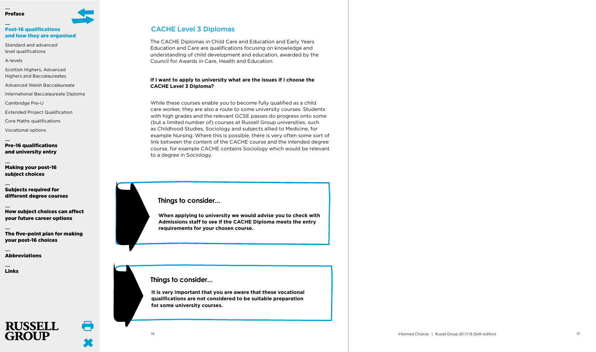### [Post-16 qualifications](#page-4-1) [and how they are organised](#page-4-1)

[Standard and advanced](#page-4-2)  [level qualifications](#page-4-2)

[A-levels](#page-5-1)

[Scottish Highers, Advanced](#page-6-1)  [Highers and Baccalaureates](#page-6-1)

[Advanced Welsh Baccalaureate](#page-6-2)

[International Baccalaureate Diploma](#page-7-1)

[Cambridge Pre-U](#page-7-2)

[Extended Project Qualification](#page-8-1)

[Core Maths qualifications](#page-8-2)

[Vocational options](#page-9-1)

[Pre-16 qualifications](#page-11-1)  [and university entry](#page-11-1)

[Making your post-16](#page-13-1)  [subject choices](#page-13-1)

[Subjects required for](#page--1-1)  [different degree courses](#page--1-1)

[How subject choices can affect](#page-25-1)  [your future career options](#page-25-1)

[The five-point plan for making](#page-27-1)  [your post-16 choices](#page-27-1)

Abbreviations

[Links](#page-29-1)



A

### CACHE Level 3 Diplomas

The CACHE Diplomas in Child Care and Education and Early Years Education and Care are qualifications focusing on knowledge and understanding of child development and education, awarded by the Council for Awards in Care, Health and Education.

### **If I want to apply t o university what are the issues if I choose the CACHE Level 3 Diploma?**

While these courses enable you to become fully qualified as a child care worke r, they are also a route to some university courses. Students with high grades and the relevant GCSE passes do progress onto some (but a limited number of) courses at Russell Group universities, such as Childhood Studies, Sociology and subjects allied to Medicine, for example Nursing. Where this is possible, there is very often some sort of link between the content of the CACHE course and the intended degree course, for example CACHE contains Sociology which would be relevant to a degree in Sociology.

### **Things to consider...**

**When applying to university we would advise you to check with Admissions staff to see if the CACHE Diploma meets the entry requirements for your chosen course.**

**Things to consider...**

It is very important that you are aware that these vocational **qualifications are not considered to be suitable preparation**  for some university courses.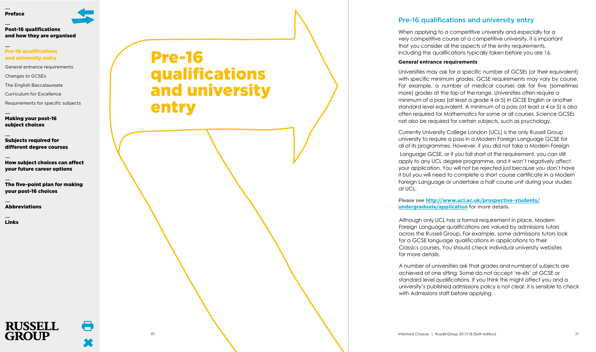<span id="page-11-0"></span>

### [Pre-16 qualifications](#page-11-1)  [and university entry](#page-11-1)

General entrance requirements

[Changes to GCSEs](#page-12-0)

[The English Baccalaureate](#page-12-0)

[Curriculum for Excellence](#page-12-0)

[Requirements for specific subjects](#page-12-0)

[Making your post-16](#page-4-0)  [subject choices](#page-4-0)

[Subjects required for](#page-19-0)  [different degree courses](#page-19-0)

[How subject choices can affect](#page-25-0)  [your future career options](#page-25-0)

[The five-point plan for making](#page-27-0)  [your post-16 choices](#page-27-0)

[Abbreviations](#page-28-0)

**RUSSELL** 

**GROUP** 

 $\blacksquare$ 

[Links](#page-29-0)

# <span id="page-11-1"></span>Pre-16 qualifications and university entry

### Pre-16 qualifications and university entry

When applying to a competitive university and especially for a very competitive course at a competitive university, it is important that you consider all the aspects of the entry requirements, including the qualifications typically taken before you are 16.

### <span id="page-11-2"></span>**General entrance requirements**

Universities may ask for a specific number of GCSEs (or their equivalent) with specific minimum grades. GCSE requirements may vary by course. For example, a number of medical courses ask for five (sometimes more) grades at the top of the range. Universities often require a minimum of a pass (at least a grade 4 or 5) in GCSE English or another standard level equivalent. A minimum of a pass (at least a 4 or 5) is also often required for Mathematics for some or all courses. Science GCSEs nat also be required for certain subjects, such as psychology.

Currently University College London (UCL) is the only Russell Group university to require a pass in a Modern Foreign Language GCSE for all of its programmes. However, if you did not take a Modern Foreign

 Language GCSE, or if you fall short of the requirement, you can still apply to any UCL degree programme, and it won't negatively affect your application. You will not be rejected just because you don't have it but you will need to complete a short course certificate in a Modern Foreign Language or undertake a half course unit during your studies at UCL.

Please see **http://www.ucl.ac.uk/prospective-students/ undergraduate/application** for more details.

Although only UCL has a formal requirement in place, Modern Foreign Language qualifications are valued by admissions tutors across the Russell Group. For example, some admissions tutors look for a GCSE language qualifications in applications to their Classics courses. You should check individual university websites for more details.

A number of universities ask that grades and number of subjects are achieved at one sitting. Some do not accept 're-sits' at GCSE or standard level qualifications. If you think this might affect you and a university's published admissions policy is not clear, it is sensible to check with Admissions staff before applying.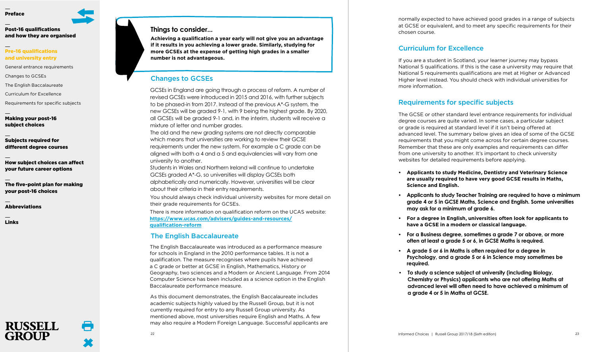### <span id="page-12-0"></span>[Post-16 qualifications](#page-4-0) [and how they are organised](#page-4-0)

### [Pre-16 qualifications](#page-11-0)  [and university entry](#page-11-0)

[General entrance requirements](#page-11-0)

Changes to GCSEs

The English Baccalaureate

Curriculum for Excellence

Requirements for specific subjects

[Making your post-16](#page-13-0)  [subject choices](#page-13-0)

[Subjects required for](#page-19-0)  [different degree courses](#page-19-0)

[How subject choices can affect](#page-25-0)  [your future career options](#page-25-0)

[The five-point plan for making](#page-27-0)  [your post-16 choices](#page-27-0)

[Abbreviations](#page-28-0)

**RUSSELL** 

[Links](#page-29-0)

### **Things to consider...**

**Achieving a qualification a year early will not give you an advantage if it results in you achievin g a lower grade. Similarly, studying for more GCSEs at the expense of getting high grades in a smaller number is not advantageous.**

### Changes to GCSEs

GCSEs in England are going through a process of reform. A number of revised GCSEs were introduced in 2015 and 2016, with further subjects to be phased-in from 2017. Instead of the previous A\*-G system, the new GCSEs will be graded 9-1, with 9 being the highest grade. By 2020, all GCSEs will be graded 9-1 and, in the interim, students will receive a mixture of letter and number grades.

The old and the new grading systems are not directly comparable which means that universities are working to review their GCSE requirements under the new system. For example a C grade can be aligned with both a 4 and a 5 and equivalencies will vary from one university to another.

Students in Wales and Northern Ireland will continue to undertake GCSEs graded A\*-G, so universities will display GCSEs both alphabetically and numerically. However, universities will be clear about their criteria in their entry requirements.

You should always check individual university websites for more detail on their grade requirements for GCSEs.

There is more information on qualification reform on the UCAS website: **https://www.ucas.com/advisers/guides-and-resources/ qualification-reform**

### The English Baccalaureate

The English Baccalaureate was introduced as a performance measure for schools in England in the 2010 performance tables. It is not a qualification. The measure recognises where pupils have achieved a C grade or b etter at GCSE in English, Mathematics, History or Geography, two sciences and a Modern or Ancient Language. From 2014 Computer Science has been included as a science option in the English Baccalaureate performance measure.

As this document demonstrates, the English Baccalaureate includes academic subjects highly valued by the Russell Group, but it is not curren tly required for entry to any Russell Group university. As mentioned above, most universities require English and Maths. A few may also require a Modern Foreign Language. Successful applicants are normally expected to have achieved good grades in a range of subjects at GCSE or equivalent, and to meet any specific requirements for their chosen course.

## Curriculum for Excellence

If you are a student in Scotland, your learner journey may bypass National 5 qualifications. If this is the case a university may require that National 5 requirements qualifications are met at Higher or Advanced Higher level instead. You should check with individual universities for more information.

## <span id="page-12-1"></span>Requirements for specific subjects

The GCSE or other standard level entrance requirements for individual degree courses are quite varied. In some cases, a particular subject or grade is required at standard level if it isn't being offered at advanced level. The summary below gives an idea of some of the GCSE requirements that you might come across for certain degree courses. Remember that these are only examples and requirements can differ from one university to another. It's important to check university websites for detailed requirements before applying.

- **Applicants to study Medicine , Dentistr y and Veterinary Science are usually required to have very good GCSE results in Maths, Science and English.**
- **• Applicants to study Teacher Training are required to have a minimum grade 4 or 5 i n GCSE Maths, Science and English. Some universities may ask for a minimum of grade 6.**
- **For a degree in English, universities often look for applicants to have a GCSE in a modern or classica l language .**
- **• For a Business degree, sometimes a grade 7 or above, or more often a t least a grade 5 or 6, in GCSE Maths is required.**
- **• A grade 5 or 6 i n Maths i s often required for a degree in Psychology, and a grade 5 or 6 in Science may sometimes be required.**
- **• To study a science subject at university (including Biology, Chemistry or Physics) applicants who are not offering Maths at advanced level will often need to have achieved a minimum of a grade 4 or 5 i n Maths a t GCSE.**

t –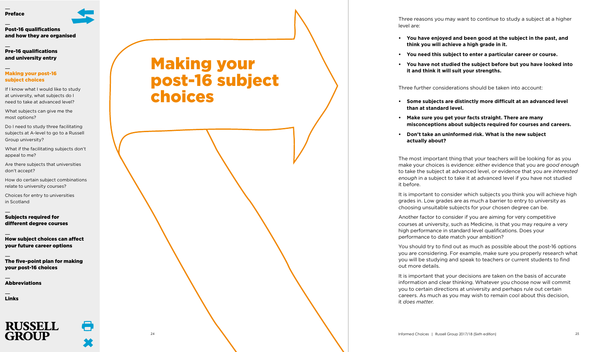### <span id="page-13-0"></span>[Post-16 qualifications](#page-4-0) [and how they are organised](#page-4-0)

[Pre-16 qualifications](#page-11-0)  [and university entry](#page-11-1)

### Making your post-16 [subject choices](#page-13-1)

[If I know what I would like to study](#page-14-0) [at university, what subjects do I](#page-14-0) [need to take at advanced level?](#page-14-0)

[What subjects can give me the](#page-14-0) [most options?](#page-14-0)

[Do I need to study three facilitating](#page-15-0) [subjects at A-level to go to a Russell](#page-15-0) [Group university?](#page-15-0)

[What if the facilitating subjects don't](#page-16-0) [appeal to me?](#page-16-0)

[Are there subjects that universities](#page-16-0) [don't accept?](#page-16-0)

[How do certain subject combinations](#page-16-0) [relate to university courses?](#page-16-0)

[Choices for entry to universities](#page-18-0) [in Scotland](#page-18-0)

[Subjects required for](#page-19-0)  [different degree courses](#page-19-0)

[How subject choices can affect](#page-25-0)  [your future career options](#page-25-0)

[The five-point plan for making](#page-27-0)  [your post-16 choices](#page-27-0)

[Abbreviations](#page-28-0)

[Links](#page-29-0)



# <span id="page-13-1"></span>Making your post-16 subject choices

24

Three reasons you may want to continue to study a subject at a higher level are:

- **You have enjoyed and been good at the subject in the past, and think you will achieve a high grade in it.**
- **Yo u need this subject to enter a particular caree r or course .**
- **You have not studied the subject befor e but you have looke d into it and think it will suit your strengths.**

Three further considerations should be taken into account:

- **Some subjects are distinctly more difficult at an advanced level than at standard level .**
- **Make sure you get your facts straight. There are many misconceptions about subjects required for course s and careers.**
- **Don't take an uninformed risk. What is the new subject actually about ?**

The most important thing that your teachers will be looking for as you make your choices is evidence: either evidence that you are *good enough* to take the subject at advanced level, or evidence that you are *interested enough* in a subject to take it at advanced level if you have not studied it before.

It is important to consider which subjects you think you will achieve high grades in. Low grades are as much a barrier to entry to university as choosing unsuitable subjects for your chosen degree can be.

Another factor to consider if you are aiming for very competitive courses at university, such as Medicine, is that you may require a very high performance in standard level qualifications. Does your performance to date match your ambition?

You should try to find out as much as possible about the post-16 options you are considering. For example, make sure you properly research what you will be studying and speak to teachers or current students to find out more details.

It is important that your decisions are taken on the basis of accurate information and clear thinking. Whatever you choose now will commit you to certain directions at university and perhaps rule out certain careers. As much as you may wish to remain cool about this decision, it *does matter*.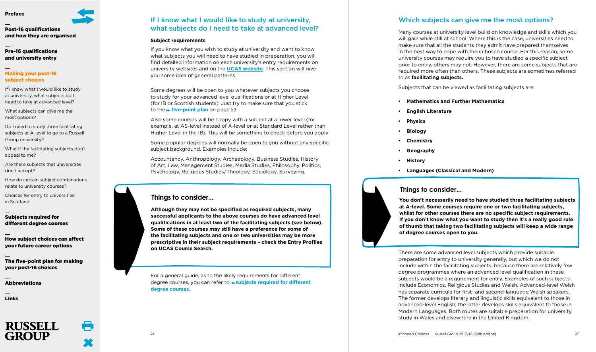

<span id="page-14-0"></span>[Post-16 qualifications](#page-4-0) [and how they are organised](#page-4-0)

[Pre-16 qualifications](#page-11-1)  [and university entry](#page-11-1)

### [Making your post-16](#page-13-0)  [subject choices](#page-13-0)

If I know what I would like to study at university, what subjects do I need to take at advanced level?

What subjects can give me the most options?

[Do I need to study three facilitating](#page-15-0) [subjects at A-level to go to a Russell](#page-15-0) [Group university?](#page-15-0)

[What if the facilitating subjects don't](#page-16-0) [appeal to me?](#page-16-0)

[Are there subjects that universities](#page-16-0) [don't accept?](#page-16-0)

[How do certain subject combinations](#page-16-0) [relate to university courses?](#page-16-0)

[Choices for entry to universities](#page-18-0) [in Scotland](#page-18-0)

### [Subjects required for](#page-19-0)  [different degree courses](#page-19-0)

[How subject choices can affect](#page-25-0)  [your future career options](#page-25-0)

[The five-point plan for making](#page-27-0)  [your post-16 choices](#page-27-0)

[Abbreviations](#page-28-0)

[Links](#page-29-0)



### <span id="page-14-1"></span>If I know what I would like to study at university, what subjects do I need to take at advanced level?

### **Subject requirements**

If you know what you wish to study at university and want to know what subjects you will need to have studied in preparation, you will find detailed information on each university's entry requirements on university websites and on the **UCAS [website](https://www.ucas.com/)**. This section will give you some idea of general patterns.

Some degrees will be open to you whatever subjects you choose to study for your advanced level qualifications or at Higher Level (for IB or Scottish students). Just try to make sure that you stick to the **» five-point plan** on page 53.

Also some courses will be happy with a subject at a lower level (for example, at AS-level instead of A-level or at Standard Level rather than Higher Level in the IB). This will be something to check before you apply

Some popular degrees will normally be open to you without any specific subject background. Examples include:

Accountancy, Anthropology, Archaeology, Business Studies, History of Art, Law, Management Studies, Media Studies, Philosophy, Politics, Psychology, Religious Studies/Theology, Sociology, Surveying.

### **Things to consider...**

**Although they may not be specified as required subjects, many successful applicants to the above courses do have advanced level qualifications in at least two of the facilitating subjects (see below). Some of these courses may still have a preference for some of the facilitating subjects and one or two universities may be more prescriptiv e in their subject requirements – check the Entry Profiles on UCAS Course Search.**

For a general guide , as to the likely requirements for different degree courses, you can refer to **→ subjects required for different [degree courses.](#page--1-1)**

### <span id="page-14-2"></span>Which subjects can give me the most options?

Many courses at university level build on knowledge and skills which you will gain while still at school. Where this is the case, universities need to make sure that all the students they admit have prepared themselves in the best way to cope with their chosen course. For this reason, some university courses may require you to have studied a specific subject prior to entry, others may not. However, there are some subjects that are required more often than others. These subjects are sometimes referred to as **facilitating subjects.**

Subjects that can be viewed as facilitating subjects are:

- **• Mathematics and Further Mathematics**
- **English Literature**
- **• Physics**
- **• Biology**
- **• Chemistry**
- **• Geography**
- **• History**
- **Languages (Classical and Modern)**

### **Things to consider...**

**You don't necessarily need t o have studied three facilitating subjects at A-level. Some courses require one or two facilitating subjects, whilst for other courses there ar e no specific subject requirements. If you don't know what you want to study then it's a really good rule of thumb that taking two facilitating subjects will keep a wide range of degree courses open to you.**

There are some advanced level subjects which provide suitable preparation for entry to university generally, but which we do not include within the facilitating subjects, because there are relatively few degree programmes where an advanced level qualification in these subjects would be a requirement for entry. Examples of such subjects include Economics, Religious Studies and Welsh. Advanced-level Welsh has separate curricula for first- and second-language Welsh speakers. The former develops literary and linguistic skills equivalent to those in advanced-level English; the latter develops skills equivalent to those in Modern Languages. Both routes are suitable preparation for university study in Wales and elsewhere in the United Kingdom.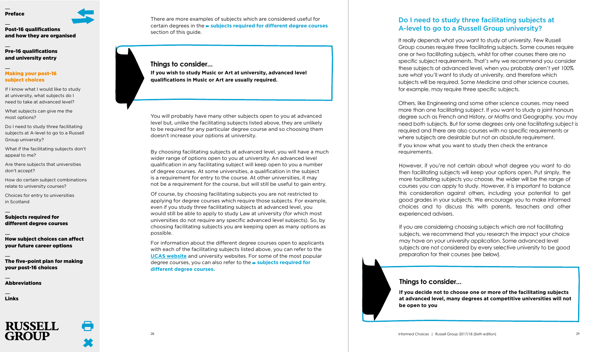

<span id="page-15-0"></span>[Post-16 qualifications](#page-4-0) [and how they are organised](#page-4-0)

### [Pre-16 qualifications](#page-11-0)  [and university entry](#page-11-0)

### [Making your post-16](#page-13-0)  [subject choices](#page-13-0)

[If I know what I would like to study](#page-14-0) [at university, what subjects do I](#page-14-0) [need to take at advanced level?](#page-14-0)

[What subjects can give me the](#page-14-0) [most options?](#page-14-0)

Do I need to study three facilitating subjects at A-level to go to a Russell Group university?

[What if the facilitating subjects don't](#page-16-0) [appeal to me?](#page-16-0)

[Are there subjects that universities](#page-16-0) [don't accept?](#page-16-0)

[How do certain subject combinations](#page-16-0) [relate to university courses?](#page-16-0)

[Choices for entry to universities](#page-18-0) [in Scotland](#page-18-0)

[Subjects required for](#page-19-0)  [different degree courses](#page-19-0)

[How subject choices can affect](#page-25-0)  [your future career options](#page-25-0)

[The five-point plan for making](#page-27-0)  [your post-16 choices](#page-27-0)

[Abbreviations](#page-28-0)

[Links](#page-29-0)



There are more examples of subjects which are considered useful for certain degrees in the **subjects require d for [different](#page-19-0) degree courses** section of this guide.

### **Things to consider...**

**If** you wish to study Music or Art at university, advanced level **qualifications in Music or Art are usually required.**

You will probably have many other subjects open to you at advanced level but, unlike the facilitating subjects listed above, they are unlikely to be required for any particular degree course and so choosing them does n't increase your options at university.

By choosing facilitating subjects at advanced level, you will have a much wider range of options open to you at university. An advanced level qualification in any facilitating subject will keep open to you a number of degree courses. At some universities, a qualification in the subject is a requirement for entry to the course. At other universities, it may not be a requirement for the course, but will still be useful to gain entry.

Of course, by choosing facilitating subjects you are not restricted to applying for degree courses which require those subjects. For example, even if you study three facilitating subjects at advanced level, you would still be able to apply to study Law at university (for which most universities do not require any specific advanced level subjects). So, by choosing facilitating subjects you are keeping open as many options as possible.

For information about the different degree courses open to applicants with each of the facilitating subjects listed above, you can refer to the **UCAS [website](https://www.ucas.com)** and university websites. For some of the most popular degree courses, you can also refer to the **»** [subjects](#page--1-1) required for **differen t degree [courses.](#page-19-0)**

### <span id="page-15-1"></span>Do I need to study three facilitating subjects at A-level to go to a Russell Group university?

It really depends what you want to study at university. Few Russell Group courses require three facilitating subjects. Some courses require one or two facilitating subjects, whilst for other courses there are no specific subject requirements. That's why we recommend you consider these subjects at advanced level, when you probably aren't yet 100% sure what you'll want to study at university, and therefore which subjects will be required. Some Medicine and other science courses, for example, may require three specific subjects.

Others, like Engineering and some other science courses, may need more than one facilitating subject. If you want to study a joint honours degree such as French and History, or Maths and Geography, you may need both subjects. But for some degrees only one facilitating subject is required and there are also courses with no specific requirements or where subjects are desirable but not an absolute requirement. If you know what you want to study then check the entrance requirements.

However, if you're not certain about what degree you want to do then facilitating subjects will keep your options open. Put simply, the more facilitating subjects you choose, the wider will be the range of courses you can apply to study. However, it is important to balance this consideration against others, including your potential to get good grades in your subjects. We encourage you to make informed choices and to discuss this with parents, tesachers and other experienced advisers.

If you are considering choosing subjects which are not facilitating subjects, we recommend that you research the impact your choice may have on your university application. Some advanced level subjects are not considered by every selective university to be good preparation for their courses (see below).

### **Things to consider...**

**If you decide not to choose one or more of the facilitating subjects at advanced level, many degrees at competitive universities will not be open to you**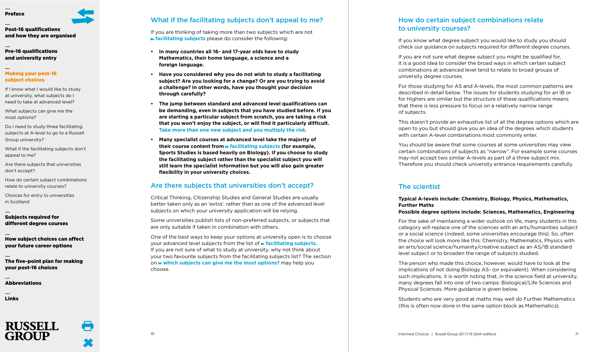# <span id="page-16-0"></span>[Post-16 qualifications](#page-4-0)

## [and how they are organised](#page-4-1)

[Pre-16 qualifications](#page-11-0)  and university entry

### [Making your post-16](#page-13-0)  subject choices

[If I know what I would like to study](#page-14-0) at university, what subjects do I need to take at advanced level?

[What subjects can give me the](#page-14-0) most options?

Do I need to study three facilitating [subjects at A-level to go to a Russell](#page-15-0) Group university?

What if the facilitating subjects don't appeal to me?

Are there subjects that universities don't accept?

How do certain subject combinations relate to university courses?

[Choices for entry to universities](#page-18-0) in Scotland

### Subjects required for [different degree courses](#page-19-0)

[How subject choices can affect](#page-25-0)  your future career options

[The five-point plan for making](#page-27-0)  your post-16 choices

[Abbreviations](#page-28-0)

[Links](#page-29-0)



### What if the facilitating subjects don't appeal to me?

If you are thinking of taking more than two subjects which are not **[facilitating](#page-14-0) subjects** please do consider the following:

- **In man y countries all 16- and 17-year old s hav e to study Mathematics, their hom e language, a science and a foreign language.**
- **Have you considered why you do not wis h to study a facilitating subject? Are you looking for a change? Or are you trying to avoid a challenge? In other words, hav e you thought you r decision through carefully?**
- **The jum p between standard and advanced level qualifications can be demanding, eve n in subjects tha t you hav e studied before. If you are starting a particular subject fro m scratch, you are taking a ris k that you won't enjoy the subject, or wil l find it particularly difficult. Take mor e tha n one new subject and you multiply the risk.**
- **Many specialist courses at advanced level tak e the majority of thei r course content fro m [facilitating](#page-14-0) subjects (fo r example, Sports Studies is based heavily on Biology). If you choose to study the facilitating subject rather tha n the specialist subject you wil l stil l learn the specialist information but you wil l als o gai n greater flexibility in you r university choices.**

### Are there subjects that universities don't accept?

Critical Thinking, Citizenship Studies and General Studies are usually better taken only as an 'extra', rather than as one of the advanced level subjects on which your university application will be relying.

Some universities publish lists of non-preferred subjects, or subjects that are only suitable if taken in combination with others.

One of the best ways to keep your options at university open is to choose your advanced level subjects from the list of **\* [facilitating](#page-14-0) subjects.** If you are not sure of what to study at university, why not think about your two favourite subjects from the facilitating subjects list? The section on **which subjects can giv e me the mos t [options?](#page-14-0)** may help you choose.

### <span id="page-16-1"></span>How do certain subject combinations relate to university courses?

If you know what degree subject you would like to study you should check our guidance on subjects required for different degree courses.

If you are not sure what degree subject you might be qualified for, it is a good idea to consider the broad ways in which certain subject combinations at advanced level tend to relate to broad groups of university degree courses.

For those studying for AS and A-levels, the most common patterns are described in detail below. The issues for students studying for an IB or for Highers are similar but the structure of these qualifications means that there is less pressure to focus on a relatively narrow range of subjects.

This doesn't provide an exhaustive list of all the degree options which are open to you but should give you an idea of the degrees which students with certain A-level combinations most commonly enter.

You should be aware that some courses at some universities may view certain combinations of subjects as "narrow". For example some courses may not accept two similar A-levels as part of a three subject mix. Therefore you should check university entrance requirements carefully.

### The scientist

### **Typical A-levels include: Chemistry, Biology, Physics, Mathematics, Further Maths**

### **Possible degree options include: Sciences, Mathematics, Engineering**

For the sake of maintaining a wider outlook on life, many students in this category will replace one of the sciences with an arts/humanities subject or a social science (indeed, some universities encourage this). So, often the choice will look more like this: Chemistry, Mathematics, Physics with an arts/social science/humanity/creative subject as an AS/IB standard level subject or to broaden the range of subjects studied.

The person who made this choice, however, would have to look at the implications of not doing Biology AS- (or equivalent). When considering such implications, it is worth noting that, in the science field at university, many degrees fall into one of two camps: Biological/Life Sciences and Physical Sciences. More guidance is given below.

Students who are very good at maths may well do Further Mathematics (this is often now done in the same option block as Mathematics).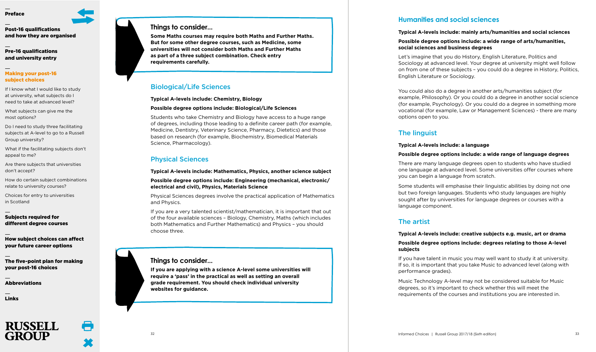### Post-16 qualifications [and how they are organised](#page-4-0)

### [Pre-16 qualifications](#page-11-0)  and university entry

### [Making your post-16](#page-13-0)  subject choices

- [If I know what I would like to study](#page-14-0) at university, what subjects do I need to take at advanced level?
- [What subjects can give me the](#page-14-0) most options?
- Do I need to study three facilitating [subjects at A-level to go to a Russell](#page-15-0) Group university?
- [What if the facilitating subjects don't](#page-16-0) appeal to me?
- [Are there subjects that universities](#page-16-0) don't accept?
- [How do certain subject combinations](#page-16-0) relate to university courses?
- [Choices for entry to universities](#page-18-0) in Scotland

### Subjects required for [different degree courses](#page-19-0)

- [How subject choices can affect](#page-25-0)  your future career options
- [The five-point plan for making](#page-27-0)  your post-16 choices

[Abbreviations](#page-28-0)

[Links](#page-29-0)



### **Things to consider...**

**Some Maths courses may require both Maths and Further Maths. But for some other degree courses, such as Medicine, some universities will not consider both Maths and Further Maths as part of a three subject combination. Check entry requirement s carefully .**

### Biological/Life Sciences

**Typical A-levels include: Chemistry, Biology**

### **Possible degree options include : Biological/Life Science s**

Students who take Chemistry and Biology have access to a huge range of degrees, including those leading to a definite career path (for example, Medicine, Dentistry, Veterinary Science, Pharmacy, Dietetics) and those based on research (for example, Biochemistry, Biomedical Materials Science, Pharmacology).

### Physical Sciences

**Typical A-levels include: Mathematics, Physics, another science subject Possible degree options include : Engineering (mechanical, electronic/ electrical and civil), Physics, Materials Science**

Physical Sciences degrees involve the practical application of Mathematics and Physics.

If you are a very talented scientist/mathematician, it is important that out of the four available sciences – Biology, Chemistry, Maths (which includes both Mathematics and Further Mathematics) and Physics – you should choose three.

### **Things to consider...**

**If you are applying with a science A-level some universities will require a 'pass' in the practical as well as setting an overall grade requirement. You should check individual university websites for guidance.**

### **Humanities and social sciences**

### **Typical A-levels include: mainly arts/humanities and social sciences**

### **Possible degree options include : a wide range of arts/humanities, social science s and busines s degrees**

Let's imagine that you do History, English Literature, Politics and Sociology at advanced level. Your degree at university might well follow on from one of these subjects – you could do a degree in History, Politics, English Literature or Sociology.

You could also do a degree in another arts/humanities subject (for example, Philosophy). Or you could do a degree in another social science (for example, Psychology). Or you could do a degree in something more vocational (for example, Law or Management Sciences) - there are many options open to you.

## The linguist

### **Typical A-levels include: a language**

### **Possible degree options include : a wide range of languag e degrees**

There are many language degrees open to students who have studied one language at advanced level. Some universities offer courses where you can begin a language from scratch.

Some students will emphasise their linguistic abilities by doing not one but two foreign languages. Students who study languages are highly sought after by universities for language degrees or courses with a language component.

### The artist

### **Typical A-levels include: creative subjects e.g. music, art or drama**

### **Possible degree options include : degrees relatin g to those A-level subjects**

If you have talent in music you may well want to study it at university. If so, it is important that you take Music to advanced level (along with performance grades).

Music Technology A-level may not be considered suitable for Music degrees, so it's important to check whether this will meet the requirements of the courses and institutions you are interested in.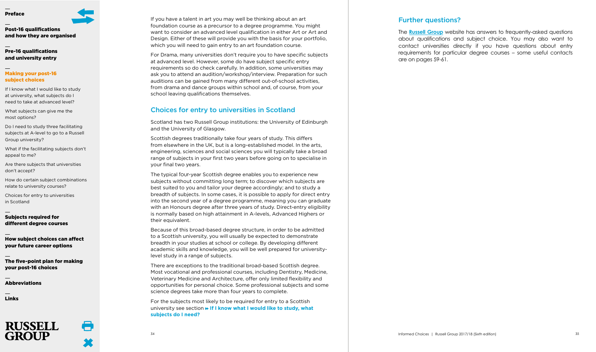

### <span id="page-18-0"></span>Post-16 qualifications [and how they are organised](#page-4-0)

[Pre-16 qualifications](#page-13-0)  and university entry

### [Making your post-16](#page-13-0)  subject choices

[If I know what I would like to study](#page-14-0) at university, what subjects do I need to take at advanced level?

[What subjects can give me the](#page-14-0) most options?

Do I need to study three facilitating [subjects at A-level to go to a Russell](#page-15-0) Group university?

[What if the facilitating subjects don't](#page-16-0) appeal to me?

[Are there subjects that universities](#page-16-0) don't accept?

[How do certain subject combinations](#page-16-0) relate to university courses?

Choices for entry to universities in Scotland

### Subjects required for [different degree courses](#page-19-0)

[How subject choices can affect](#page-25-0)  your future career options

[The five-point plan for making](#page-27-0) your post-16 choices

[Abbreviations](#page-29-0)

[Links](#page-29-1)



If you have a talent in art you may well be thinking about an art foundation course as a precursor to a degree programme. You might want to consider an advanced level qualification in either Art or Art and Design. Either of these will provide you with the basis for your portfolio, which you will need to gain entry to an art foundation course.

For Drama, many universities don't require you to have specific subjects at advanced level. However, some do have subject specific entry requirements so do check carefully. In addition, some universities may ask you to attend an audition/workshop/interview. Preparation for such auditions can be gained from many different out-of-school activities, from drama and dance groups within school and, of course, from your school leaving qualifications themselves.

### <span id="page-18-1"></span>Choices for entry to universities in Scotland

Scotland has two Russell Group institutions: the University of Edinburgh and the University of Glasgow.

Scottish degrees traditionally take four years of study. This differs from elsewhere in the UK, but is a long-established model. In the arts, engineering, sciences and social sciences you will typically take a broad range of subjects in your first two years before going on to specialise in your final two years.

The typical four-year Scottish degree enables you to experience new subjects without committing long term; to discover which subjects are best suited to you and tailor your degree accordingly; and to study a breadth of subjects. In some cases, it is possible to apply for direct entry into the second year of a degree programme, meaning you can graduate with an Honours degree after three years of study. Direct-entry eligibility is normally based on high attainment in A-levels, Advanced Highers or their equivalent.

Because of this broad-based degree structure, in order to be admitted to a Scottish university, you will usually be expected to demonstrate breadth in your studies at school or college. By developing different academic skills and knowledge, you will be well prepared for universitylevel study in a range of subjects.

There are exceptions to the traditional broad-based Scottish degree. Most vocational and professional courses, including Dentistry, Medicine, Veterinary Medicine and Architecture, offer only limited flexibility and opportunities for personal choice. Some professional subjects and some science degrees take more than four years to complete.

For the subjects most likely to be required for entry to a Scottish university see section **If I know what I [would](#page-14-0) like to study, what subjects do I need?**

### Further questions?

The **Russell Group** website has answers to frequently-asked questions about qualifications and subject choice. You may also want to contact universities directly if you have questions about entry requirements for particular degree courses – some useful contacts are on pages 59-61.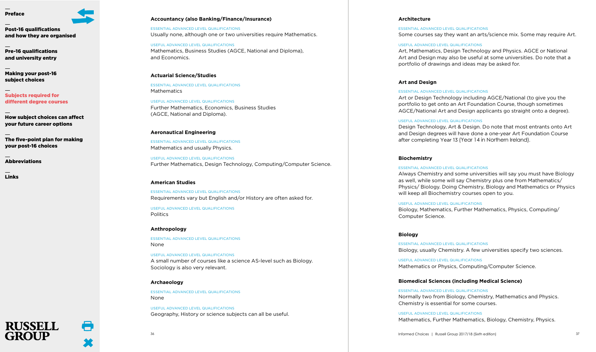<span id="page-19-0"></span>

[Pre-16 qualifications](#page-11-0)  and university entry

[Making your post-16](#page-13-0)  subject choices

Subjects required for different degree courses

[How subject choices can affect](#page-25-0)  your future career options

[The five-point plan for making](#page-27-0)  your post-16 choices

**[Abbreviations](#page-28-0)** 

[Links](#page-29-0)

### **Accountancy (also Banking/Finance/Insurance)**

ESSENTIAL ADVANCED LEVEL QUALIFICATIONS Usually none, although one or two universities require Mathematics.

USEFUL ADVANCED LEVEL QUALIFICATIONS Mathematics, Business Studies (AGCE, National and Diploma), and Economics.

### **Actuarial Science/Studies**

ESSENTIAL ADVANCED LEVEL QUALIFICATIONS Mathematics

USEFUL ADVANCED LEVEL QUALIFICATIONS Further Mathematics, Economics, Business Studies (AGCE, National and Diploma).

#### **Aeronautical Engineering**

ESSENTIAL ADVANCED LEVEL QUALIFICATIONS Mathematics and usually Physics.

USEFUL ADVANCED LEVEL QUALIFICATIONS Further Mathematics, Design Technology, Computing/Computer Science.

### **American Studies**

ESSENTIAL ADVANCED LEVEL QUALIFICATIONS Requirements vary but English and/or History are often asked for.

USEFUL ADVANCED LEVEL QUALIFICATIONS Politics

#### **Anthropology**

ESSENTIAL ADVANCED LEVEL QUALIFICATIONS None

USEFUL ADVANCED LEVEL QUALIFICATIONS A small number of courses like a science AS-level such as Biology. Sociology is also very relevant.

#### **Archaeology**

ESSENTIAL ADVANCED LEVEL QUALIFICATIONS None

USEFUL ADVANCED LEVEL QUALIFICATIONS Geography, History or science subjects can all be useful.

#### **Architecture**

ESSENTIAL ADVANCED LEVEL QUALIFICATIONS

Some courses say they want an arts/science mix. Some may require Art.

#### USEFUL ADVANCED LEVEL QUALIFICATIONS

Art, Mathematics, Design Technology and Physics. AGCE or National Art and Design may also be useful at some universities. Do note that a portfolio of drawings and ideas may be asked for.

#### **Art and Design**

#### ESSENTIAL ADVANCED LEVEL QUALIFICATIONS

Art or Design Technology including AGCE/National (to give you the portfolio to get onto an Art Foundation Course, though sometimes AGCE/National Art and Design applicants go straight onto a degree).

#### USEFUL ADVANCED LEVEL QUALIFICATIONS

Design Technology, Art & Design. Do note that most entrants onto Art and Design degrees will have done a one-year Art Foundation Course after completing Year 13 (Year 14 in Northern Ireland).

#### **Biochemistry**

#### ESSENTIAL ADVANCED LEVEL QUALIFICATIONS

Always Chemistry and some universities will say you must have Biology as well, while some will say Chemistry plus one from Mathematics/ Physics/ Biology. Doing Chemistry, Biology and Mathematics or Physics will keep all Biochemistry courses open to you.

#### USEFUL ADVANCED LEVEL QUALIFICATIONS

Biology, Mathematics, Further Mathematics, Physics, Computing/ Computer Science.

#### **Biology**

ESSENTIAL ADVANCED LEVEL QUALIFICATIONS Biology, usually Chemistry. A few universities specify two sciences.

USEFUL ADVANCED LEVEL QUALIFICATIONS Mathematics or Physics, Computing/Computer Science.

#### **Biomedical Sciences (including Medical Science)**

ESSENTIAL ADVANCED LEVEL QUALIFICATIONS Normally two from Biology, Chemistry, Mathematics and Physics. Chemistry is essential for some courses.

USEFUL ADVANCED LEVEL QUALIFICATIONS Mathematics, Further Mathematics, Biology, Chemistry, Physics.



36 Informed Choices | Russell Group 2017/18 (Sixth edition) 37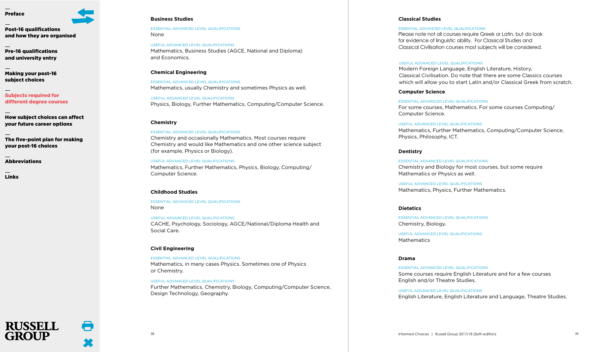Post-16 qualifications

[and how they are organised](#page-4-0)

[Pre-16 qualifications](#page-11-0)  and university entry

[Making your post-16](#page-13-0)  subject choices

Subjects required for [different degree courses](#page-19-0)

[How subject choices can affect](#page-25-0)  your future career options

[The five-point plan for making](#page-27-0)  your post-16 choices

**[Abbreviations](#page-28-0)** 

**RUSSELL** 

[Links](#page-29-0)

### **Business Studies**

ESSENTIAL ADVANCED LEVEL QUALIFICATIONS None

USEFUL ADVANCED LEVEL QUALIFICATIONS Mathematics, Business Studies (AGCE, National and Diploma) and Economics.

### **Chemical Engineering**

ESSENTIAL ADVANCED LEVEL QUALIFICATIONS Mathematics, usually Chemistry and sometimes Physics as well.

USEFUL ADVANCED LEVEL QUALIFICATIONS Physics, Biology, Further Mathematics, Computing/Computer Science.

### **Chemistry**

### ESSENTIAL ADVANCED LEVEL QUALIFICATIONS

Chemistry and occasionally Mathematics. Most courses require Chemistry and would like Mathematics and one other science subject (for example, Physics or Biology).

USEFUL ADVANCED LEVEL QUALIFICATIONS

Mathematics, Further Mathematics, Physics, Biology, Computing/ Computer Science.

### **Childhood Studies**

ESSENTIAL ADVANCED LEVEL QUALIFICATIONS None

USEFUL ADVANCED LEVEL QUALIFICATIONS CACHE, Psychology, Sociology, AGCE/National/Diploma Health and Social Care.

### **Civil Engineering**

### ESSENTIAL ADVANCED LEVEL QUALIFICATIONS Mathematics, in many cases Physics. Sometimes one of Physics

or Chemistry.

### USEFUL ADVANCED LEVEL QUALIFICATIONS

Further Mathematics, Chemistry, Biology, Computing/Computer Science, Design Technology, Geography.

### **Classical Studies**

#### ESSENTIAL ADVANCED LEVEL QUALIFICATIONS

Please note not all courses require Greek or Latin, but do look for evidence of linguistic ability. For Classical Studies and Classical Civilisation courses most subjects will be considered.

#### USEFUL ADVANCED LEVEL QUALIFICATIONS

Modern Foreign Language, English Literature, History, Classical Civilisation. Do note that there are some Classics courses which will allow you to start Latin and/or Classical Greek from scratch.

### **Computer Science**

ESSENTIAL ADVANCED LEVEL QUALIFICATIONS For some courses, Mathematics. For some courses Computing/ Computer Science.

### USEFUL ADVANCED LEVEL QUALIFICATIONS

Mathematics, Further Mathematics, Computing/Computer Science, Physics, Philosophy, ICT.

### **Dentistry**

ESSENTIAL ADVANCED LEVEL QUALIFICATIONS Chemistry and Biology for most courses, but some require Mathematics or Physics as well.

USEFUL ADVANCED LEVEL QUALIFICATIONS Mathematics, Physics, Further Mathematics.

### **Dietetics**

ESSENTIAL ADVANCED LEVEL QUALIFICATIONS Chemistry, Biology.

USEFUL ADVANCED LEVEL QUALIFICATIONS Mathematics

### **Drama**

ESSENTIAL ADVANCED LEVEL QUALIFICATIONS Some courses require English Literature and for a few courses English and/or Theatre Studies.

USEFUL ADVANCED LEVEL QUALIFICATIONS English Literature, English Literature and Language, Theatre Studies.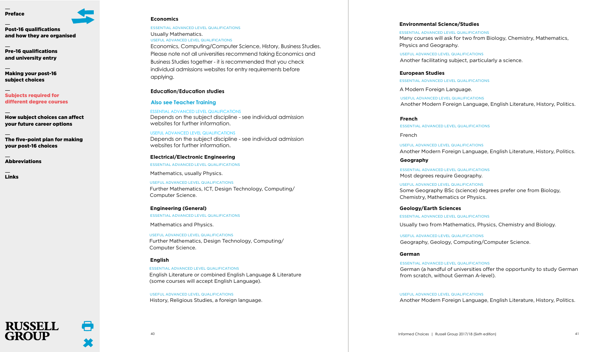Post-16 qualifications

[and how they are organised](#page-4-0)

[Pre-16 qualifications](#page-11-0)  and university entry

[Making your post-16](#page-13-0)  subject choices

Subjects required for [different degree courses](#page-19-0)

[How subject choices can affect](#page-25-0)  your future career options

[The five-point plan for making](#page-27-0)  your post-16 choices

**[Abbreviations](#page-28-0)** 

**RUSSELL** 

[Links](#page-29-0)

#### **Economics**

ESSENTIAL ADVANCED LEVEL QUALIFICATIONS Usually Mathematics. USEFUL ADVANCED LEVEL QUALIFICATIONS

Economics, Computing/Computer Science, History, Business Studies. Please note not all universities recommend taking Economics and Business Studies together - it is recommended that you check individual admissions websites for entry requirements before applying.

**Education/Education studies**

### **Also see Teacher Training**

ESSENTIAL ADVANCED LEVEL QUALIFICATIONS Depends on the subject discipline - see individual admission websites for further information.

USEFUL ADVANCED LEVEL QUALIFICATIONS Depends on the subject discipline - see individual admission websites for further information.

**Electrical/Electronic Engineering** ESSENTIAL ADVANCED LEVEL QUALIFICATIONS

Mathematics, usually Physics.

USEFUL ADVANCED LEVEL QUALIFICATIONS Further Mathematics, ICT, Design Technology, Computing/ Computer Science.

### **Engineering (General)**

ESSENTIAL ADVANCED LEVEL QUALIFICATIONS

Mathematics and Physics.

USEFUL ADVANCED LEVEL QUALIFICATIONS Further Mathematics, Design Technology, Computing/ Computer Science.

### **English**

ESSENTIAL ADVANCED LEVEL QUALIFICATIONS English Literature or combined English Language & Literature (some courses will accept English Language).

USEFUL ADVANCED LEVEL QUALIFICATIONS History, Religious Studies, a foreign language.

#### **Environmental Science/Studies**

ESSENTIAL ADVANCED LEVEL QUALIFICATIONS Many courses will ask for two from Biology, Chemistry, Mathematics, Physics and Geography.

USEFUL ADVANCED LEVEL QUALIFICATIONS Another facilitating subject, particularly a science.

### **European Studies**

ESSENTIAL ADVANCED LEVEL QUALIFICATIONS

A Modern Foreign Language.

USEFUL ADVANCED LEVEL QUALIFICATIONS Another Modern Foreign Language, English Literature, History, Politics.

**French**

ESSENTIAL ADVANCED LEVEL QUALIFICATIONS

French

USEFUL ADVANCED LEVEL QUALIFICATIONS Another Modern Foreign Language, English Literature, History, Politics.

### **Geography**

ESSENTIAL ADVANCED LEVEL QUALIFICATIONS Most degrees require Geography.

USEFUL ADVANCED LEVEL QUALIFICATIONS Some Geography BSc (science) degrees prefer one from Biology, Chemistry, Mathematics or Physics.

**Geology/Earth Sciences** ESSENTIAL ADVANCED LEVEL QUALIFICATIONS

Usually two from Mathematics, Physics, Chemistry and Biology.

USEFUL ADVANCED LEVEL QUALIFICATIONS Geography, Geology, Computing/Computer Science.

### **German**

ESSENTIAL ADVANCED LEVEL QUALIFICATIONS German (a handful of universities offer the opportunity to study German from scratch, without German A-level).

USEFUL ADVANCED LEVEL QUALIFICATIONS Another Modern Foreign Language, English Literature, History, Politics.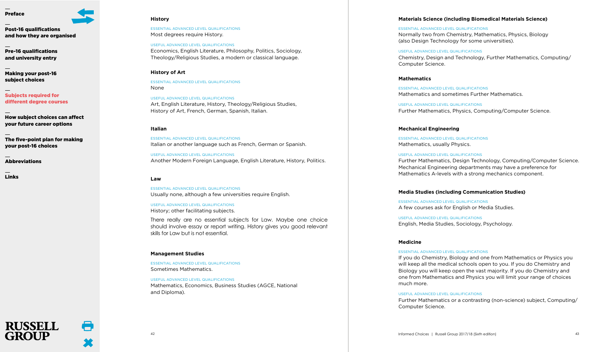Post-16 qualifications [and how they are organised](#page-4-0)

[Pre-16 qualifications](#page-11-0)  and university entry

[Making your post-16](#page-13-0)  subject choices

Subjects required for [different degree courses](#page-19-0)

[How subject choices can affect](#page-25-0)  your future career options

[The five-point plan for making](#page-27-0)  your post-16 choices

**[Abbreviations](#page-28-0)** 

**RUSSELL** 

[Links](#page-29-0)

#### **History**

ESSENTIAL ADVANCED LEVEL QUALIFICATIONS Most degrees require History.

USEFUL ADVANCED LEVEL QUALIFICATIONS Economics, English Literature, Philosophy, Politics, Sociology, Theology/Religious Studies, a modern or classical language.

### **History of Art**

ESSENTIAL ADVANCED LEVEL QUALIFICATIONS None

USEFUL ADVANCED LEVEL QUALIFICATIONS Art, English Literature, History, Theology/Religious Studies, History of Art, French, German, Spanish, Italian.

### **Italian**

ESSENTIAL ADVANCED LEVEL QUALIFICATIONS Italian or another language such as French, German or Spanish.

USEFUL ADVANCED LEVEL QUALIFICATIONS Another Modern Foreign Language, English Literature, History, Politics.

### **Law**

ESSENTIAL ADVANCED LEVEL QUALIFICATIONS Usually none, although a few universities require English.

### USEFUL ADVANCED LEVEL QUALIFICATIONS

History; other facilitating subjects.

There really are no essential subjects for Law. Maybe one choice should involve essay or report writing. History gives you good relevant skills for Law but is not essential.

### **Management Studies**

ESSENTIAL ADVANCED LEVEL QUALIFICATIONS Sometimes Mathematics.

### USEFUL ADVANCED LEVEL QUALIFICATIONS Mathematics, Economics, Business Studies (AGCE, National

and Diploma).

### **Materials Science (including Biomedical Materials Science)**

ESSENTIAL ADVANCED LEVEL QUALIFICATIONS

Normally two from Chemistry, Mathematics, Physics, Biology (also Design Technology for some universities).

#### USEFUL ADVANCED LEVEL QUALIFICATIONS

Chemistry, Design and Technology, Further Mathematics, Computing/ Computer Science.

### **Mathematics**

ESSENTIAL ADVANCED LEVEL QUALIFICATIONS Mathematics and sometimes Further Mathematics.

USEFUL ADVANCED LEVEL QUALIFICATIONS Further Mathematics, Physics, Computing/Computer Science.

### **Mechanical Engineering**

ESSENTIAL ADVANCED LEVEL QUALIFICATIONS Mathematics, usually Physics.

#### USEFUL ADVANCED LEVEL QUALIFICATIONS

Further Mathematics, Design Technology, Computing/Computer Science. Mechanical Engineering departments may have a preference for Mathematics A-levels with a strong mechanics component.

### **Media Studies (including Communication Studies)**

ESSENTIAL ADVANCED LEVEL QUALIFICATIONS A few courses ask for English or Media Studies.

USEFUL ADVANCED LEVEL QUALIFICATIONS English, Media Studies, Sociology, Psychology.

### **Medicine**

#### ESSENTIAL ADVANCED LEVEL QUALIFICATIONS

If you do Chemistry, Biology and one from Mathematics or Physics you will keep all the medical schools open to you. If you do Chemistry and Biology you will keep open the vast majority. If you do Chemistry and one from Mathematics and Physics you will limit your range of choices much more.

#### USEFUL ADVANCED LEVEL QUALIFICATIONS

Further Mathematics or a contrasting (non-science) subject, Computing/ Computer Science.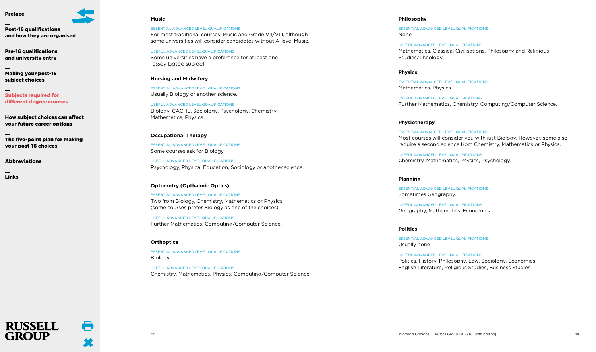Post-16 qualifications [and how they are organised](#page-4-0)

[Pre-16 qualifications](#page-11-0)  and university entry

[Making your post-16](#page-13-0)  subject choices

Subjects required for [different degree courses](#page-19-0)

[How subject choices can affect](#page-25-0)  your future career options

[The five-point plan for making](#page-27-0)  your post-16 choices

**[Abbreviations](#page-28-0)** 

**RUSSELL** 

[Links](#page-29-0)

### **Music**

ESSENTIAL ADVANCED LEVEL QUALIFICATIONS For most traditional courses, Music and Grade VII/VIII, although some universities will consider candidates without A-level Music.

USEFUL ADVANCED LEVEL QUALIFICATIONS Some universities have a preference for at least one essay-based subject

### **Nursing and Midwifery**

ESSENTIAL ADVANCED LEVEL QUALIFICATIONS Usually Biology or another science.

USEFUL ADVANCED LEVEL QUALIFICATIONS Biology, CACHE, Sociology, Psychology, Chemistry, Mathematics, Physics.

### **Occupational Therapy**

ESSENTIAL ADVANCED LEVEL QUALIFICATIONS Some courses ask for Biology.

USEFUL ADVANCED LEVEL QUALIFICATIONS Psychology, Physical Education, Sociology or another science.

### **Optometry (Opthalmic Optics)**

ESSENTIAL ADVANCED LEVEL QUALIFICATIONS Two from Biology, Chemistry, Mathematics or Physics (some courses prefer Biology as one of the choices).

USEFUL ADVANCED LEVEL QUALIFICATIONS Further Mathematics, Computing/Computer Science.

### **Orthoptics**

ESSENTIAL ADVANCED LEVEL QUALIFICATIONS Biology

USEFUL ADVANCED LEVEL QUALIFICATIONS Chemistry, Mathematics, Physics, Computing/Computer Science.

#### **Philosophy**

ESSENTIAL ADVANCED LEVEL QUALIFICATIONS None

USEFUL ADVANCED LEVEL QUALIFICATIONS Mathematics, Classical Civilisations, Philosophy and Religious Studies/Theology.

### **Physics**

ESSENTIAL ADVANCED LEVEL QUALIFICATIONS Mathematics, Physics.

USEFUL ADVANCED LEVEL QUALIFICATIONS Further Mathematics, Chemistry, Computing/Computer Science.

### **Physiotherapy**

ESSENTIAL ADVANCED LEVEL QUALIFICATIONS Most courses will consider you with just Biology. However, some also require a second science from Chemistry, Mathematics or Physics.

USEFUL ADVANCED LEVEL QUALIFICATIONS Chemistry, Mathematics, Physics, Psychology.

### **Planning**

ESSENTIAL ADVANCED LEVEL QUALIFICATIONS Sometimes Geography.

USEFUL ADVANCED LEVEL QUALIFICATIONS Geography, Mathematics, Economics.

### **Politics**

ESSENTIAL ADVANCED LEVEL QUALIFICATIONS Usually none

USEFUL ADVANCED LEVEL QUALIFICATIONS Politics, History, Philosophy, Law, Sociology, Economics, English Literature, Religious Studies, Business Studies.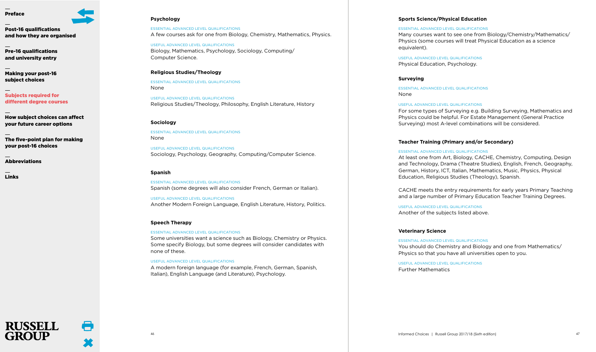Post-16 qualifications

[and how they are organised](#page-4-0)

[Pre-16 qualifications](#page-11-0)  and university entry

[Making your post-16](#page-13-0)  subject choices

Subjects required for [different degree courses](#page-19-0)

[How subject choices can affect](#page-25-0)  your future career options

[The five-point plan for making](#page-27-0)  your post-16 choices

**[Abbreviations](#page-28-0)** 

**RUSSELL** 

[Links](#page-29-0)

### **Psychology**

ESSENTIAL ADVANCED LEVEL QUALIFICATIONS A few courses ask for one from Biology, Chemistry, Mathematics, Physics.

USEFUL ADVANCED LEVEL QUALIFICATIONS Biology, Mathematics, Psychology, Sociology, Computing/ Computer Science.

### **Religious Studies/Theology**

ESSENTIAL ADVANCED LEVEL QUALIFICATIONS None

USEFUL ADVANCED LEVEL QUALIFICATIONS Religious Studies/Theology, Philosophy, English Literature, History

### **Sociology**

ESSENTIAL ADVANCED LEVEL QUALIFICATIONS None

USEFUL ADVANCED LEVEL QUALIFICATIONS Sociology, Psychology, Geography, Computing/Computer Science.

#### **Spanish**

ESSENTIAL ADVANCED LEVEL QUALIFICATIONS Spanish (some degrees will also consider French, German or Italian).

USEFUL ADVANCED LEVEL QUALIFICATIONS Another Modern Foreign Language, English Literature, History, Politics.

### **Speech Therapy**

#### ESSENTIAL ADVANCED LEVEL QUALIFICATIONS

Some universities want a science such as Biology, Chemistry or Physics. Some specify Biology, but some degrees will consider candidates with none of these.

#### USEFUL ADVANCED LEVEL QUALIFICATIONS

A modern foreign language (for example, French, German, Spanish, Italian), English Language (and Literature), Psychology.

### **Sports Science/Physical Education**

#### ESSENTIAL ADVANCED LEVEL QUALIFICATIONS

Many courses want to see one from Biology/Chemistry/Mathematics/ Physics (some courses will treat Physical Education as a science equivalent).

USEFUL ADVANCED LEVEL QUALIFICATIONS Physical Education, Psychology.

#### **Surveying**

ESSENTIAL ADVANCED LEVEL QUALIFICATIONS None

#### USEFUL ADVANCED LEVEL QUALIFICATIONS

For some types of Surveying e.g. Building Surveying, Mathematics and Physics could be helpful. For Estate Management (General Practice Surveying) most A-level combinations will be considered.

### **Teacher Training (Primary and/or Secondary)**

#### ESSENTIAL ADVANCED LEVEL QUALIFICATIONS

At least one from Art, Biology, CACHE, Chemistry, Computing, Design and Technology, Drama (Theatre Studies), English, French, Geography, German, History, ICT, Italian, Mathematics, Music, Physics, Physical Education, Religious Studies (Theology), Spanish.

CACHE meets the entry requirements for early years Primary Teaching and a large number of Primary Education Teacher Training Degrees.

USEFUL ADVANCED LEVEL QUALIFICATIONS Another of the subjects listed above.

#### **Veterinary Science**

ESSENTIAL ADVANCED LEVEL QUALIFICATIONS You should do Chemistry and Biology and one from Mathematics/ Physics so that you have all universities open to you.

USEFUL ADVANCED LEVEL QUALIFICATIONS Further Mathematics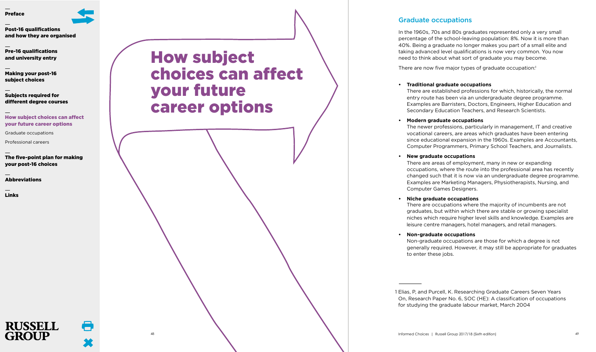<span id="page-25-0"></span>

[Pre-16 qualifications](#page-11-0)  and university entry

[Making your post-16](#page-13-0)  subject choices

Subjects required for [different degree courses](#page-19-0)

How subject choices can affect your future career options

Graduate occupations

[Professional careers](#page-26-0)

[The five-point plan for making](#page-27-0)  your post-16 choices

[Abbreviations](#page-28-0)

[Links](#page-29-0)

# <span id="page-25-1"></span>How subject choices can affect your future career options

### Graduate occupations

In the 1960s, 70s and 80s graduates represented only a very small percentage of the school-leaving population: 8%. Now it is more than 40%. Being a graduate no longer makes you part of a small elite and taking advanced level qualifications is now very common. You now need to think about what sort of graduate you may become.

There are now five major types of graduate occupation:<sup>1</sup>

### **• Traditional graduate occupations**

There are established professions for which, historically, the normal entry route has been via an undergraduate degree programme. Examples are Barristers, Doctors, Engineers, Higher Education and Secondary Education Teachers, and Research Scientists.

### **• Modern graduate occupations**

The newer professions, particularly in management, IT and creative vocational careers, are areas which graduates have been entering since educational expansion in the 1960s. Examples are Accountants, Computer Programmers, Primary School Teachers, and Journalists.

### **• New graduate occupations**

There are areas of employment, many in new or expanding occupations, where the route into the professional area has recently changed such that it is now via an undergraduate degree programme. Examples are Marketing Managers, Physiotherapists, Nursing, and Computer Games Designers.

### **• Niche graduate occupations**

There are occupations where the majority of incumbents are not graduates, but within which there are stable or growing specialist niches which require higher level skills and knowledge. Examples are leisure centre managers, hotel managers, and retail managers.

### **• Non-graduate occupations**

Non-graduate occupations are those for which a degree is not generally required. However, it may still be appropriate for graduates to enter these jobs.

1 Elias, P, and Purcell, K. Researching Graduate Careers Seven Years On, Research Paper No. 6, SOC (HE): A classification of occupations for studying the graduate labour market, March 2004

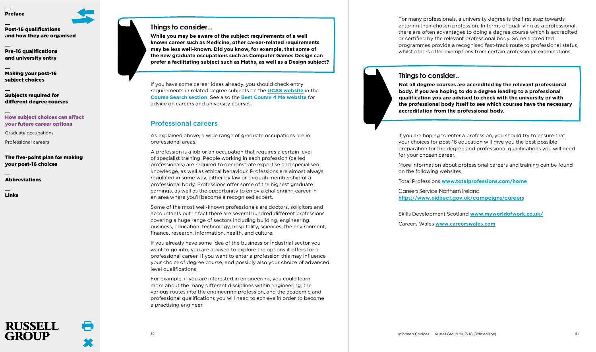<span id="page-26-0"></span>

[Pre-16 qualifications](#page-11-0)  and university entry

[Making your post-16](#page-13-0)  subject choices

Subjects required for [different degree courses](#page-19-0)

### [How subject choices can affect](#page-25-0)  your future career options

[Graduate occupations](#page-25-0)

Professional careers

### [The five-point plan for making](#page-27-0)  your post-16 choices

[Abbreviations](#page-28-0)

**RUSSELL** 

[Links](#page-29-0)

### **Things to consider...**

**While you may be aware of the subject requirements of a well known career such as Medicine, other career-related requirements may be less well-known. Did you know, for example, that some of the new graduate occupations such as Computer Games Design can prefer a facilitating subject such as Maths, as well as a Design subject?**

If you have some career ideas already, you should check entry requirements in related degree subjects on the **UCAS [website](http://www.ucas.com)** in the **Course Search [section](http://www.ucas.com)**. See also the **Best Course 4 Me [website](http://www.bestcourse4me.com/)** for advice on careers and university courses.

### Professional careers

As explained above, a wide range of graduate occupations are in professional areas.

A profession is a job or an occupation that requires a certain level of specialist training. People working in each profession (called professionals) are required to demonstrate expertise and specialised knowledge, as well as ethical behaviour. Professions are almost always regulated in some way, either by law or through membership of a professional body. Professions offer some of the highest graduate earnings, as well as the opportunity to enjoy a challenging career in an area where you'll become a recognised expert.

Some of the most well-known professionals are doctors, solicitors and accountants but in fact there are several hundred different professions covering a huge range of sectors including building, engineering, business, education, technology, hospitality, sciences, the environment, finance, research, information, health, and culture.

If you already have some idea of the business or industrial sector you want to go into, you are advised to explore the options it offers for a professional career. If you want to enter a profession this may influence your choiceof degree course, and possibly also your choice of advanced level qualifications.

For example, if you are interested in engineering, you could learn more about the many different disciplines within engineering, the various routes into the engineering profession, and the academic and professional qualifications you will need to achieve in order to become a practising engineer.

For many professionals, a university degree is the first step towards entering their chosen profession. In terms of qualifying as a professional, there are often advantages to doing a degree course which is accredited or certified by the relevant professional body. Some accredited programmes provide a recognised fast-track route to professional status, whilst others offer exemptions from certain professional examinations.

### **Things to consider..**

**Not all degree courses are accredited by the relevant professional body. If you are hoping to do a degree leading to a professional qualification you are advised to check with the university or with the professional body itself to see which courses have the necessary accreditation from the professional body.**

If you are hoping to enter a profession, you should try to ensure that your choices for post-16 education will give you the best possible preparation for the degree and professional qualifications you will need for your chosen career.

More information about professional careers and training can be found on the following websites.

Total Professions **www.totalprofessions.com/home**

Careers Service Northern Ireland **https://www.nidirect.gov.uk/campaigns/careers**

Skills Development Scotland **www.myworldofwork.co.uk/**

Careers Wales **www.careerswales.com**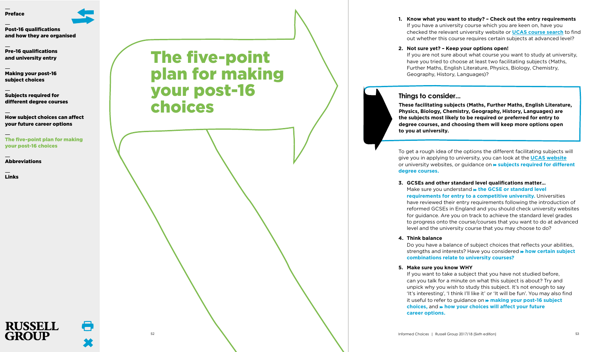<span id="page-27-0"></span>

[Pre-16 qualifications](#page-11-0)  and university entry

[Making your post-16](#page-13-0)  subject choices

Subjects required for [different degree courses](#page-19-0)

[How subject choices can affect](#page-25-0)  your future career options

The five-point plan for making your post-16 choices

**[Abbreviations](#page-28-0)** 

[Links](#page-29-0)

# <span id="page-27-1"></span>The five-point plan for making your post-16 choices

**1. Know what you want to study ? – Check out the entry requirements** If you have a university course which you are keen on, have you checked the relevant university website or **UCAS [course](http://www.ucas.com) searc h** to find out whether this course requires certain subjects at advanced level?

### **2. Not sure yet? – Keep your options open!**

If you are not sure about what course you want to study at university, have you tried to choose at least two facilitating subjects (Maths, Further Maths, English Literature, Physics, Biology, Chemistry, Geography, History, Languages)?

### **Things to consider...**

**These facilitating subjects (Maths, Further Maths, English Literature, Physics , Biology, Chemistry, Geography, History, Languages) are the subjects most likel y to be required or preferred for entry to degree courses, and choosing them will keep more options open to you at university.**

To get a rough idea of the options the different facilitating subjects will give you in applying to university, you can look at the **UCAS [website](http://www.ucas.com)** or university websites, or guidance on **subjects required for [different](#page-19-0) degree [courses.](#page--1-1)**

**3. GCSEs and other standard level qualifications matter…** Make sure you understand **the GCSE or [standard](#page-11-1) level [requirements](#page-11-1) for entry to a competitive university.** Universities have reviewed their entry requirements following the introduction of reformed GCSEs in England and you should check university websites for guidance. Are you on track to achieve the standard level grades to progress onto the course/courses that you want to do at advanced level and the university course that you may choose to do?

**4. Think balance**

Do you have a balance of subject choices that reflects your abilities, strengths and interests? Have you considered **how certain [subject](#page-19-0) [combinations](#page-16-1) relat e to university courses?**

**5. Make sure you know WHY**

If you want to take a subject that you have not studied before, can you talk for a minute on what this subject is about? Try and unpick why you wish to study this subject. It's not enough to say 'It's interesting', 'I think I'll like it' or 'It will be fun'. You may also find it useful to refer to guidance on **[making](#page-13-0) your post-16 subject [choices,](#page-13-0)** and **how your [choices](#page-25-0) will affec t your futur e career [options.](#page-25-1)**

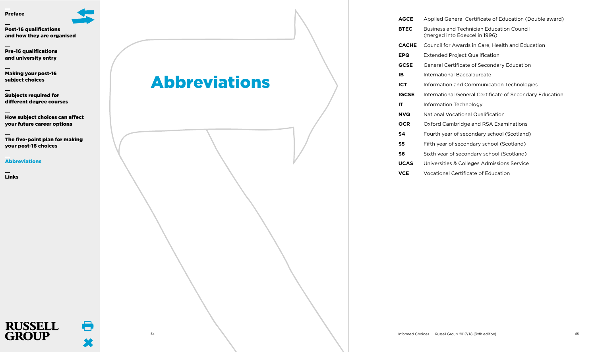<span id="page-28-0"></span>Post-16 qualifications [and how they are organised](#page-4-0)

Pre-16 qualifications [and university entry](#page-11-0)

[Making your post-16](#page-13-0)  subject choices

Subjects required for [different degree courses](#page-19-0)

[How subject choices can affect](#page-25-0)  your future career options

[The five-point plan for making](#page-27-0)  your post-16 choices

Abbreviations

[Links](#page-29-0)

# Abbreviations

**AGCE** Applied General Certificate of Education (Double award)

- **BTEC** Business and Technician Education Council (merged into Edexcel in 1996)
- **CACHE** Council for Awards in Care, Health and Education
- **EPQ** Extended Project Qualification
- **GCSE** General Certificate of Secondary Education
- **IB** International Baccalaureate
- **ICT** Information and Communication Technologies
- **IGCSE** International General Certificate of Secondary Education
- **IT** Information Technology
- **NVQ** National Vocational Qualification
- **OCR** Oxford Cambridge and RSA Examinations
- **S4** Fourth year of secondary school (Scotland)
- **S5** Fifth year of secondary school (Scotland)
- **S6** Sixth year of secondary school (Scotland)
- **UCAS** Universities & Colleges Admissions Service
- **VCE** Vocational Certificate of Education

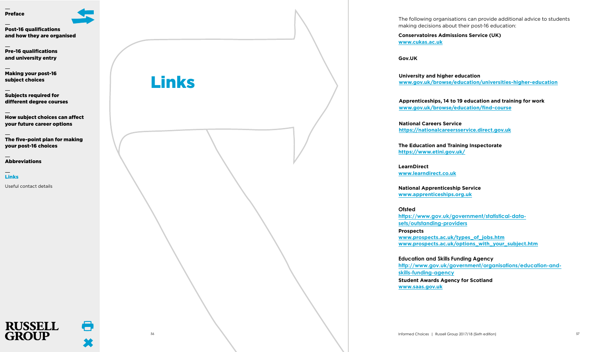<span id="page-29-0"></span>Post-16 qualifications [and how they are organised](#page-4-0)

[Pre-16 qualifications](#page-11-0)  and university entry

[Making your post-16](#page-13-0)  subject choices

Subjects required for [different degree courses](#page-19-0)

[How subject choices can affect](#page-25-0) your future career options

[The five-point plan for making](#page-27-0)  your post-16 choices

[Abbreviations](#page-28-0)

Links

[Useful contact details](#page-30-0)

<span id="page-29-1"></span>Links

The following organisations can provide additional advice to students making decisions about their post-16 education:

**Conservatoires Admissions Service (UK) www.cukas.ac.uk**

**Gov.UK**

**University and higher education www.gov.uk/browse/education/universities-higher-education**

**Apprenticeships, 14 to 19 education and training for work www.gov.uk/browse/education/find-course**

**National Careers Service https://nationalcareersservice.direct.gov.uk**

**The Education and Training Inspectorate https://www.etini.gov.uk/**

**LearnDirect www.learndirect.co.uk**

**National Apprenticeship Service www.apprenticeships.org.uk**

### **Ofsted**

**https://www.gov.uk/government/statistical-datasets/outstanding-providers**

**Prospects**

**www.prospects.ac.uk/types\_of\_jobs.htm www.prospects.ac.uk/options\_with\_your\_subject.htm**

**Education and Skills Funding Agency http://www.gov.uk/government/organisations/education-andskills-funding-agency Student Awards Agency for Scotland www.saas.gov.uk**



 $\overline{\mathbf{e}}$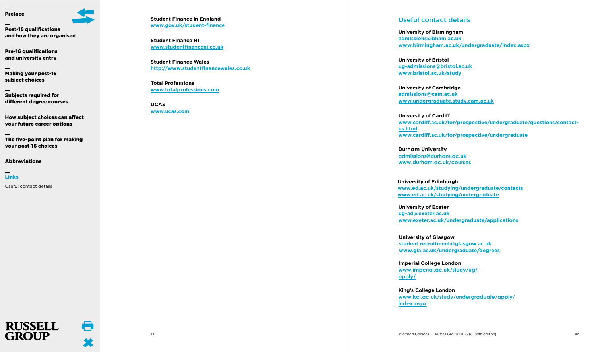<span id="page-30-0"></span>

Post-16 qualifications [and how they are organised](#page-4-0)

[Pre-16 qualifications](#page-11-0)  and university entry

[Making your post-16](#page-13-0)  subject choices

Subjects required for [different degree courses](#page-19-0)

[How subject choices can affect](#page-25-0)  your future career options

[The five-point plan for making](#page-27-0)  your post-16 choices

[Abbreviations](#page-28-0)

[Links](#page-29-0)

Useful contact details

**Student Finance in England www.gov.uk/student-finance**

**Student Finance NI www.studentfinanceni.co.uk**

**Student Finance Wales http://www.studentfinancewales.co.uk**

**Total Professions www.totalprofessions.com**

**UCAS www.ucas.com**

### Useful contact details

**University of Birmingham admissions@bham.ac.uk <www.birmingham.ac.uk/undergraduate/index.aspx>**

**University of Bristol ug-admissions@bristol.ac.uk [www.bristol.ac.uk/study](www.bristol.ac.uk)**

**University of Cambridge admissions@cam.ac.uk <www.undergraduate.study.cam.ac.uk>**

**University of Cardiff [www.cardiff.ac.uk/for/prospective/undergraduate/questions/contact](www.cardiff.ac.uk/for/prospective/undergraduate/questions/contact-us.html)us.html <www.cardiff.ac.uk/for/prospective/undergraduate>**

**Durham University [admissions@durham.ac.uk](mailto:admissions@durham.ac.uk) <www.durham.ac.uk/courses>**

**University of Edinburgh <www.ed.ac.uk/studying/undergraduate/contacts> <www.ed.ac.uk/studying/undergraduate>**

**University of Exeter ug-ad@exeter.ac.uk <www.exeter.ac.uk/undergraduate/applications>**

**University of Glasgow student.recruitment@glasgow.ac.uk <www.gla.ac.uk/undergraduate/degrees>**

**Imperial College London [www.imperial.ac.uk/study/ug/](http://www.imperial.ac.uk/study/ug/apply/) apply/**

**King's College London [www.kcl.ac.uk/study/undergraduate/apply/](https://www.kcl.ac.uk/study/undergraduate/apply/index.aspx) index.aspx** 

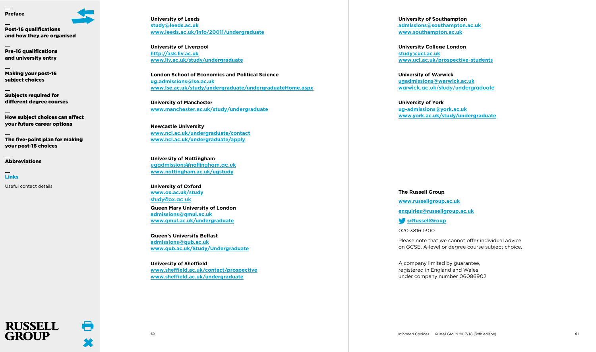Post-16 qualifications [and how they are organised](#page-4-0)

[Pre-16 qualifications](#page-11-0)  and university entry

[Making your post-16](#page-13-0)  subject choices

Subjects required for [different degree courses](#page-19-0)

[How subject choices can affect](#page-25-0)  your future career options

[The five-point plan for making](#page-27-0)  your post-16 choices

[Abbreviations](#page-28-0)

[Links](#page-29-0)

[Useful contact details](#page-30-0)

**RUSSELL** 

 $\bf{N}$  TD

**University of Leeds study@leeds.ac.uk <www.leeds.ac.uk/info/20011/undergraduate>**

**University of Liverpool http://ask.liv.ac.uk <www.liv.ac.uk/study/undergraduate>**

**London School of Economics and Political Science ug.admissions@lse.ac.uk <www.lse.ac.uk/study/undergraduate/undergraduateHome.aspx>**

**University of Manchester <www.manchester.ac.uk/study/undergraduate>**

**Newcastle University <www.ncl.ac.uk/undergraduate/contact> <www.ncl.ac.uk/undergraduate/apply>**

**University of Nottingham [ugadmissions@nottingham.ac.uk](mailto:ugadmissions@nottingham.ac.uk) <www.nottingham.ac.uk/ugstudy>**

**University of Oxford**  www.ox.ac.uk/study studv@ox.ac.uk **Queen Mary University of London admissions@qmul.ac.uk <www.qmul.ac.uk/undergraduate>**

**Queen's University Belfast admissions@qub.ac.uk [www.qub.ac.uk/Study/Undergraduate](www.qub.ac.uk/study/undergraduate)**

**University of Sheffield <www.sheffield.ac.uk/contact/prospective> <www.sheffield.ac.uk/undergraduate>**

**University of Southampton admissions@southampton.ac.uk <www.southampton.ac.uk>**

**University College London study@ucl.ac.uk <www.ucl.ac.uk/prospective-students>**

**University of Warwick ugadmissions@warwick.ac.uk [warwick.ac.uk/study/undergraduate](https://warwick.ac.uk/study/undergraduate)** 

**University of York ug-admissions@york.ac.uk <www.york.ac.uk/study/undergraduate>**

### **The Russell Group**

**<www.russellgroup.ac.uk>**

**enquiries@russellgroup.ac.uk**

**[@RussellGroup](https://twitter.com/RussellGroup)**

020 3816 1300

Please note that we cannot offer individual advice on GCSE, A-level or degree course subject choice.

A company limited by guarantee, registered in England and Wales under company number 06086902

m